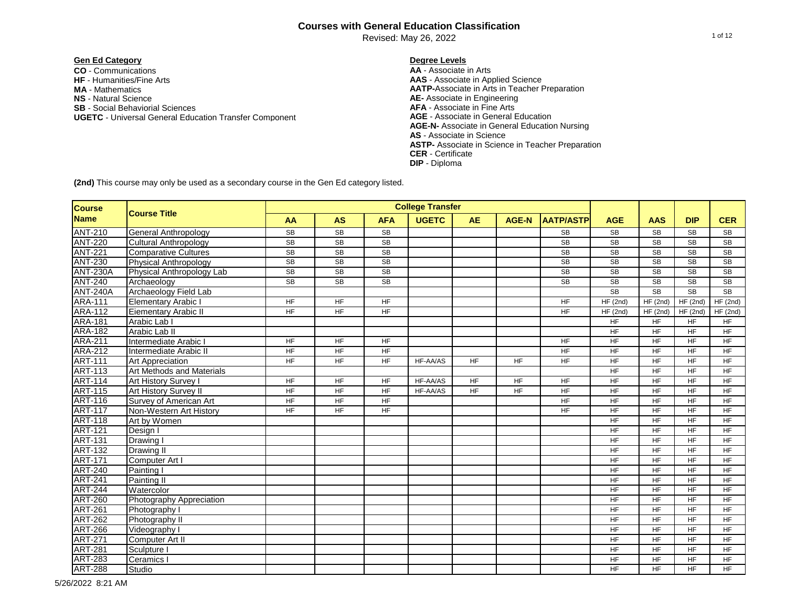Revised: May 26, 2022

# **Gen Ed Category Degree Levels**

**CO** - Communications **AA** - Associate in Arts **NS** - Natural Science **AE-** Associate in Engineering **SB** - Social Behaviorial Sciences **AFA** - Associate in Fine Arts **UGETC - Universal General Education Transfer Component MA** - Mathematics

**AAS** - Associate in Applied Science **AATP-**Associate in Arts in Teacher Preparation **AGE-N-** Associate in General Education Nursing **AS** - Associate in Science **ASTP-** Associate in Science in Teacher Preparation **CER** - Certificate **DIP** - Diploma

| <b>Course</b>   |                                  |                 |                        |                 | <b>College Transfer</b> |           |              |                        |            |                 |            |            |
|-----------------|----------------------------------|-----------------|------------------------|-----------------|-------------------------|-----------|--------------|------------------------|------------|-----------------|------------|------------|
| <b>Name</b>     | <b>Course Title</b>              | AA              | <b>AS</b>              | <b>AFA</b>      | <b>UGETC</b>            | <b>AE</b> | <b>AGE-N</b> | <b>AATP/ASTP</b>       | <b>AGE</b> | <b>AAS</b>      | <b>DIP</b> | <b>CER</b> |
| <b>ANT-210</b>  | General Anthropology             | <b>SB</b>       | <b>SB</b>              | <b>SB</b>       |                         |           |              | <b>SB</b>              | <b>SB</b>  | <b>SB</b>       | <b>SB</b>  | <b>SB</b>  |
| <b>ANT-220</b>  | <b>Cultural Anthropology</b>     | <b>SB</b>       | $\overline{\text{SB}}$ | <b>SB</b>       |                         |           |              | $\overline{\text{SB}}$ | SB         | <b>SB</b>       | <b>SB</b>  | <b>SB</b>  |
| <b>ANT-221</b>  | <b>Comparative Cultures</b>      | <b>SB</b>       | SB                     | <b>SB</b>       |                         |           |              | <b>SB</b>              | SB         | <b>SB</b>       | <b>SB</b>  | <b>SB</b>  |
| <b>ANT-230</b>  | <b>Physical Anthropology</b>     | <b>SB</b>       | <b>SB</b>              | <b>SB</b>       |                         |           |              | <b>SB</b>              | SB         | <b>SB</b>       | <b>SB</b>  | <b>SB</b>  |
| <b>ANT-230A</b> | Physical Anthropology Lab        | SB              | SB                     | SB              |                         |           |              | <b>SB</b>              | <b>SB</b>  | <b>SB</b>       | <b>SB</b>  | <b>SB</b>  |
| <b>ANT-240</b>  | Archaeology                      | SB              | <b>SB</b>              | <b>SB</b>       |                         |           |              | <b>SB</b>              | SB         | SB              | SB         | <b>SB</b>  |
| <b>ANT-240A</b> | Archaeology Field Lab            |                 |                        |                 |                         |           |              |                        | <b>SB</b>  | <b>SB</b>       | <b>SB</b>  | <b>SB</b>  |
| <b>ARA-111</b>  | <b>Elementary Arabic I</b>       | <b>HF</b>       | <b>HF</b>              | <b>HF</b>       |                         |           |              | <b>HF</b>              | HF(2nd)    | $HF$ (2nd)      | HF(2nd)    | HF(2nd)    |
| <b>ARA-112</b>  | Eiementary Arabic II             | $\overline{HF}$ | $H_{\text{F}}$         | $\overline{HF}$ |                         |           |              | $H_{\text{F}}$         | HF(2nd)    | HF(2nd)         | HF(2nd)    | HF(2nd)    |
| <b>ARA-181</b>  | Arabic Lab                       |                 |                        |                 |                         |           |              |                        | <b>HF</b>  | <b>HF</b>       | <b>HF</b>  | <b>HF</b>  |
| <b>ARA-182</b>  | Arabic Lab II                    |                 |                        |                 |                         |           |              |                        | <b>HF</b>  | <b>HF</b>       | <b>HF</b>  | <b>HF</b>  |
| <b>ARA-211</b>  | Intermediate Arabic I            | HF              | <b>HF</b>              | <b>HF</b>       |                         |           |              | <b>HF</b>              | HF         | <b>HF</b>       | <b>HF</b>  | <b>HF</b>  |
| <b>ARA-212</b>  | Intermediate Arabic II           | HF              | HF                     | <b>HF</b>       |                         |           |              | <b>HF</b>              | HF         | <b>HF</b>       | <b>HF</b>  | <b>HF</b>  |
| <b>ART-111</b>  | <b>Art Appreciation</b>          | <b>HF</b>       | <b>HF</b>              | <b>HF</b>       | HF-AA/AS                | <b>HF</b> | <b>HF</b>    | <b>HF</b>              | <b>HF</b>  | <b>HF</b>       | <b>HF</b>  | <b>HF</b>  |
| <b>ART-113</b>  | <b>Art Methods and Materials</b> |                 |                        |                 |                         |           |              |                        | <b>HF</b>  | <b>HF</b>       | <b>HF</b>  | <b>HF</b>  |
| <b>ART-114</b>  | Art History Survey I             | HF              | <b>HF</b>              | <b>HF</b>       | HF-AA/AS                | <b>HF</b> | <b>HF</b>    | <b>HF</b>              | <b>HF</b>  | HF              | <b>HF</b>  | <b>HF</b>  |
| <b>ART-115</b>  | <b>Art History Survey II</b>     | <b>HF</b>       | <b>HF</b>              | <b>HF</b>       | HF-AA/AS                | <b>HF</b> | <b>HF</b>    | <b>HF</b>              | <b>HF</b>  | HF              | <b>HF</b>  | <b>HF</b>  |
| <b>ART-116</b>  | Survey of American Art           | HF              | <b>HF</b>              | <b>HF</b>       |                         |           |              | HF                     | <b>HF</b>  | HF              | <b>HF</b>  | <b>HF</b>  |
| <b>ART-117</b>  | Non-Western Art History          | HF              | <b>HF</b>              | HF              |                         |           |              | <b>HF</b>              | <b>HF</b>  | <b>HF</b>       | <b>HF</b>  | <b>HF</b>  |
| <b>ART-118</b>  | Art by Women                     |                 |                        |                 |                         |           |              |                        | HF         | HF              | <b>HF</b>  | <b>HF</b>  |
| <b>ART-121</b>  | Design I                         |                 |                        |                 |                         |           |              |                        | HF         | HF              | <b>HF</b>  | <b>HF</b>  |
| <b>ART-131</b>  | Drawing I                        |                 |                        |                 |                         |           |              |                        | HF         | HF              | <b>HF</b>  | <b>HF</b>  |
| <b>ART-132</b>  | Drawing II                       |                 |                        |                 |                         |           |              |                        | HF         | <b>HF</b>       | <b>HF</b>  | <b>HF</b>  |
| <b>ART-171</b>  | Computer Art I                   |                 |                        |                 |                         |           |              |                        | HF         | <b>HF</b>       | <b>HF</b>  | <b>HF</b>  |
| <b>ART-240</b>  | Painting I                       |                 |                        |                 |                         |           |              |                        | HF         | $H_{\text{F}}$  | <b>HF</b>  | <b>HF</b>  |
| <b>ART-241</b>  | Painting II                      |                 |                        |                 |                         |           |              |                        | HF         | $H_{\text{F}}$  | <b>HF</b>  | <b>HF</b>  |
| <b>ART-244</b>  | Watercolor                       |                 |                        |                 |                         |           |              |                        | <b>HF</b>  | HF              | <b>HF</b>  | <b>HF</b>  |
| <b>ART-260</b>  | Photography Appreciation         |                 |                        |                 |                         |           |              |                        | <b>HF</b>  | HF              | <b>HF</b>  | <b>HF</b>  |
| <b>ART-261</b>  | Photography I                    |                 |                        |                 |                         |           |              |                        | HF         | $\overline{HF}$ | <b>HF</b>  | <b>HF</b>  |
| <b>ART-262</b>  | Photography II                   |                 |                        |                 |                         |           |              |                        | <b>HF</b>  | <b>HF</b>       | <b>HF</b>  | <b>HF</b>  |
| <b>ART-266</b>  | Videography I                    |                 |                        |                 |                         |           |              |                        | <b>HF</b>  | <b>HF</b>       | <b>HF</b>  | <b>HF</b>  |
| <b>ART-271</b>  | Computer Art II                  |                 |                        |                 |                         |           |              |                        | <b>HF</b>  | <b>HF</b>       | <b>HF</b>  | <b>HF</b>  |
| <b>ART-281</b>  | Sculpture I                      |                 |                        |                 |                         |           |              |                        | <b>HF</b>  | <b>HF</b>       | <b>HF</b>  | <b>HF</b>  |
| <b>ART-283</b>  | Ceramics I                       |                 |                        |                 |                         |           |              |                        | <b>HF</b>  | <b>HF</b>       | <b>HF</b>  | <b>HF</b>  |
| <b>ART-288</b>  | Studio                           |                 |                        |                 |                         |           |              |                        | <b>HF</b>  | <b>HF</b>       | <b>HF</b>  | <b>HF</b>  |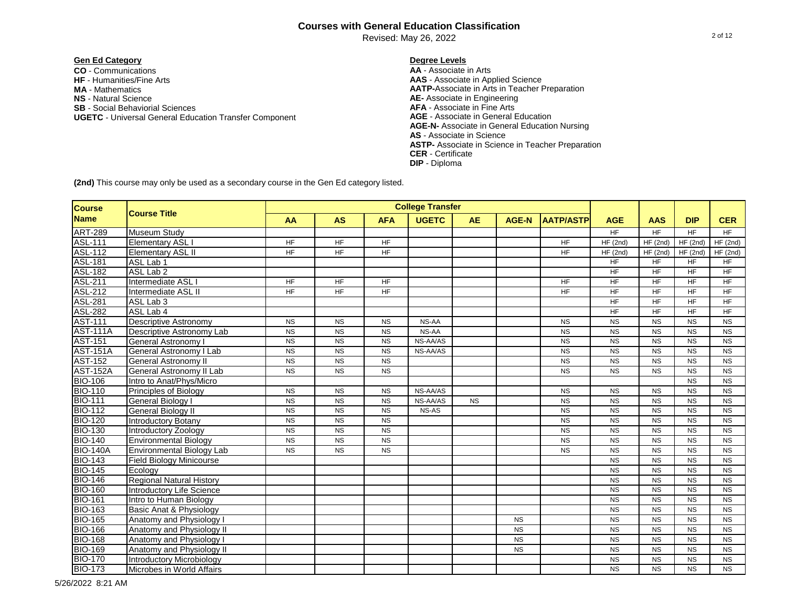Revised: May 26, 2022

# **Gen Ed Category Degree Levels**

**CO** - Communications **AA** - Associate in Arts **NS** - Natural Science **AE-** Associate in Engineering **SB** - Social Behaviorial Sciences **AFA** - Associate in Fine Arts **UGETC - Universal General Education Transfer Component MA** - Mathematics

**AAS** - Associate in Applied Science **AATP-**Associate in Arts in Teacher Preparation **AGE-N-** Associate in General Education Nursing **AS** - Associate in Science **ASTP-** Associate in Science in Teacher Preparation **CER** - Certificate **DIP** - Diploma

| <b>Course</b>   |                                  |                 |                |                 | <b>College Transfer</b> |           |              |                  |                 |                 |                        |                 |
|-----------------|----------------------------------|-----------------|----------------|-----------------|-------------------------|-----------|--------------|------------------|-----------------|-----------------|------------------------|-----------------|
| <b>Name</b>     | <b>Course Title</b>              | AA              | <b>AS</b>      | <b>AFA</b>      | <b>UGETC</b>            | <b>AE</b> | <b>AGE-N</b> | <b>AATP/ASTP</b> | <b>AGE</b>      | <b>AAS</b>      | <b>DIP</b>             | <b>CER</b>      |
| <b>ART-289</b>  | <b>Museum Study</b>              |                 |                |                 |                         |           |              |                  | $\overline{HF}$ | HF              | <b>HF</b>              | $H_{\text{F}}$  |
| ASL-111         | Elementary ASL I                 | <b>HF</b>       | <b>HF</b>      | <b>HF</b>       |                         |           |              | <b>HF</b>        | HF(2nd)         | HF(2nd)         | HF(2nd)                | HF(2nd)         |
| <b>ASL-112</b>  | <b>Elementary ASL II</b>         | <b>HF</b>       | $H_{\text{F}}$ | $\overline{HF}$ |                         |           |              | <b>HF</b>        | HF(2nd)         | HF(2nd)         | HF(2nd)                | HF(2nd)         |
| <b>ASL-181</b>  | ASL Lab 1                        |                 |                |                 |                         |           |              |                  | <b>HF</b>       | <b>HF</b>       | <b>HF</b>              | <b>HF</b>       |
| <b>ASL-182</b>  | ASL Lab 2                        |                 |                |                 |                         |           |              |                  | HF              | $H_F$           | $H_{\text{F}}$         | $H_{\text{F}}$  |
| <b>ASL-211</b>  | Intermediate ASL                 | $H_{\text{F}}$  | <b>HF</b>      | $H_{\text{F}}$  |                         |           |              | <b>HF</b>        | $\overline{HF}$ | $H_F$           | $H_{\text{F}}$         | $H_{\text{F}}$  |
| <b>ASL-212</b>  | Intermediate ASL II              | <b>HF</b>       | HF             | <b>HF</b>       |                         |           |              | <b>HF</b>        | HF              | <b>HF</b>       | <b>HF</b>              | <b>HF</b>       |
| <b>ASL-281</b>  | ASL Lab 3                        |                 |                |                 |                         |           |              |                  | HF              | <b>HF</b>       | <b>HF</b>              | <b>HF</b>       |
| <b>ASL-282</b>  | ASL Lab 4                        |                 |                |                 |                         |           |              |                  | HF              | <b>HF</b>       | <b>HF</b>              | <b>HF</b>       |
| <b>AST-111</b>  | <b>Descriptive Astronomy</b>     | <b>NS</b>       | <b>NS</b>      | <b>NS</b>       | NS-AA                   |           |              | <b>NS</b>        | <b>NS</b>       | <b>NS</b>       | <b>NS</b>              | <b>NS</b>       |
| <b>AST-111A</b> | Descriptive Astronomy Lab        | <b>NS</b>       | <b>NS</b>      | <b>NS</b>       | NS-AA                   |           |              | <b>NS</b>        | <b>NS</b>       | <b>NS</b>       | <b>NS</b>              | <b>NS</b>       |
| <b>AST-151</b>  | General Astronomy I              | <b>NS</b>       | <b>NS</b>      | <b>NS</b>       | NS-AA/AS                |           |              | <b>NS</b>        | <b>NS</b>       | <b>NS</b>       | <b>NS</b>              | <b>NS</b>       |
| <b>AST-151A</b> | General Astronomy I Lab          | <b>NS</b>       | <b>NS</b>      | <b>NS</b>       | NS-AA/AS                |           |              | <b>NS</b>        | <b>NS</b>       | <b>NS</b>       | <b>NS</b>              | <b>NS</b>       |
| <b>AST-152</b>  | General Astronomy II             | $\overline{NS}$ | N <sub>S</sub> | $\overline{NS}$ |                         |           |              | <b>NS</b>        | <b>NS</b>       | $\overline{NS}$ | <b>NS</b>              | $\overline{NS}$ |
| <b>AST-152A</b> | General Astronomy II Lab         | $\overline{NS}$ | <b>NS</b>      | <b>NS</b>       |                         |           |              | <b>NS</b>        | <b>NS</b>       | <b>NS</b>       | <b>NS</b>              | <b>NS</b>       |
| <b>BIO-106</b>  | Intro to Anat/Phys/Micro         |                 |                |                 |                         |           |              |                  |                 |                 | <b>NS</b>              | <b>NS</b>       |
| <b>BIO-110</b>  | Principles of Biology            | <b>NS</b>       | <b>NS</b>      | <b>NS</b>       | NS-AA/AS                |           |              | <b>NS</b>        | <b>NS</b>       | <b>NS</b>       | <b>NS</b>              | <b>NS</b>       |
| <b>BIO-111</b>  | General Biology I                | <b>NS</b>       | <b>NS</b>      | <b>NS</b>       | NS-AA/AS                | <b>NS</b> |              | <b>NS</b>        | <b>NS</b>       | <b>NS</b>       | <b>NS</b>              | <b>NS</b>       |
| <b>BIO-112</b>  | General Biology II               | <b>NS</b>       | <b>NS</b>      | <b>NS</b>       | NS-AS                   |           |              | <b>NS</b>        | <b>NS</b>       | <b>NS</b>       | <b>NS</b>              | <b>NS</b>       |
| <b>BIO-120</b>  | <b>Introductory Botany</b>       | <b>NS</b>       | <b>NS</b>      | <b>NS</b>       |                         |           |              | <b>NS</b>        | <b>NS</b>       | <b>NS</b>       | <b>NS</b>              | <b>NS</b>       |
| <b>BIO-130</b>  | <b>Introductory Zoology</b>      | <b>NS</b>       | <b>NS</b>      | <b>NS</b>       |                         |           |              | <b>NS</b>        | <b>NS</b>       | <b>NS</b>       | <b>NS</b>              | <b>NS</b>       |
| <b>BIO-140</b>  | <b>Environmental Biology</b>     | <b>NS</b>       | <b>NS</b>      | <b>NS</b>       |                         |           |              | <b>NS</b>        | <b>NS</b>       | <b>NS</b>       | <b>NS</b>              | <b>NS</b>       |
| <b>BIO-140A</b> | <b>Environmental Biology Lab</b> | <b>NS</b>       | <b>NS</b>      | <b>NS</b>       |                         |           |              | <b>NS</b>        | <b>NS</b>       | $\overline{NS}$ | <b>NS</b>              | <b>NS</b>       |
| <b>BIO-143</b>  | <b>Field Biology Minicourse</b>  |                 |                |                 |                         |           |              |                  | <b>NS</b>       | <b>NS</b>       | <b>NS</b>              | <b>NS</b>       |
| <b>BIO-145</b>  | Ecology                          |                 |                |                 |                         |           |              |                  | <b>NS</b>       | <b>NS</b>       | <b>NS</b>              | <b>NS</b>       |
| <b>BIO-146</b>  | <b>Regional Natural History</b>  |                 |                |                 |                         |           |              |                  | <b>NS</b>       | <b>NS</b>       | <b>NS</b>              | <b>NS</b>       |
| <b>BIO-160</b>  | <b>Introductory Life Science</b> |                 |                |                 |                         |           |              |                  | <b>NS</b>       | <b>NS</b>       | <b>NS</b>              | <b>NS</b>       |
| <b>BIO-161</b>  | Intro to Human Biology           |                 |                |                 |                         |           |              |                  | <b>NS</b>       | <b>NS</b>       | <b>NS</b>              | <b>NS</b>       |
| <b>BIO-163</b>  | Basic Anat & Physiology          |                 |                |                 |                         |           |              |                  | <b>NS</b>       | <b>NS</b>       | <b>NS</b>              | <b>NS</b>       |
| <b>BIO-165</b>  | Anatomy and Physiology I         |                 |                |                 |                         |           | <b>NS</b>    |                  | <b>NS</b>       | <b>NS</b>       | <b>NS</b>              | <b>NS</b>       |
| <b>BIO-166</b>  | Anatomy and Physiology II        |                 |                |                 |                         |           | <b>NS</b>    |                  | <b>NS</b>       | <b>NS</b>       | <b>NS</b>              | <b>NS</b>       |
| <b>BIO-168</b>  | Anatomy and Physiology I         |                 |                |                 |                         |           | <b>NS</b>    |                  | <b>NS</b>       | $\overline{NS}$ | $\overline{\text{NS}}$ | $\overline{NS}$ |
| <b>BIO-169</b>  | Anatomy and Physiology II        |                 |                |                 |                         |           | <b>NS</b>    |                  | <b>NS</b>       | <b>NS</b>       | <b>NS</b>              | <b>NS</b>       |
| <b>BIO-170</b>  | Introductory Microbiology        |                 |                |                 |                         |           |              |                  | <b>NS</b>       | <b>NS</b>       | <b>NS</b>              | <b>NS</b>       |
| <b>BIO-173</b>  | Microbes in World Affairs        |                 |                |                 |                         |           |              |                  | <b>NS</b>       | <b>NS</b>       | <b>NS</b>              | <b>NS</b>       |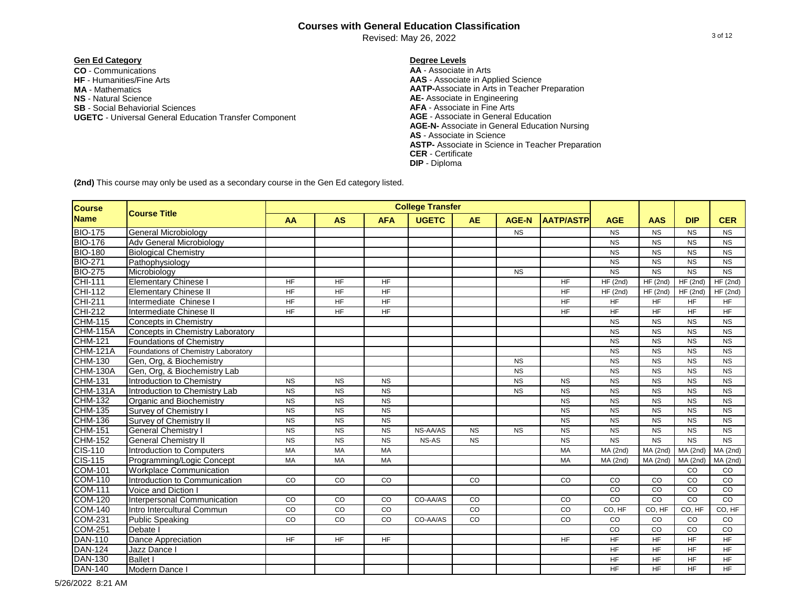Revised: May 26, 2022

# **Gen Ed Category Degree Levels**

**CO** - Communications **AA** - Associate in Arts **NS** - Natural Science **AE-** Associate in Engineering **SB** - Social Behaviorial Sciences **AFA** - Associate in Fine Arts **UGETC - Universal General Education Transfer Component MA** - Mathematics

**AAS** - Associate in Applied Science **AATP-**Associate in Arts in Teacher Preparation **AGE-N-** Associate in General Education Nursing **AS** - Associate in Science **ASTP-** Associate in Science in Teacher Preparation **CER** - Certificate **DIP** - Diploma

**(2nd)** This course may only be used as a secondary course in the Gen Ed category listed.

| <b>Course</b>   |                                     |           |           |            | <b>College Transfer</b> |             |              |                  |            |             |                 |            |
|-----------------|-------------------------------------|-----------|-----------|------------|-------------------------|-------------|--------------|------------------|------------|-------------|-----------------|------------|
| <b>Name</b>     | <b>Course Title</b>                 | AA        | <b>AS</b> | <b>AFA</b> | <b>UGETC</b>            | <b>AE</b>   | <b>AGE-N</b> | <b>AATP/ASTP</b> | <b>AGE</b> | <b>AAS</b>  | <b>DIP</b>      | <b>CER</b> |
| <b>BIO-175</b>  | <b>General Microbiology</b>         |           |           |            |                         |             | <b>NS</b>    |                  | <b>NS</b>  | <b>NS</b>   | <b>NS</b>       | <b>NS</b>  |
| <b>BIO-176</b>  | Adv General Microbiology            |           |           |            |                         |             |              |                  | <b>NS</b>  | <b>NS</b>   | <b>NS</b>       | <b>NS</b>  |
| <b>BIO-180</b>  | <b>Biological Chemistry</b>         |           |           |            |                         |             |              |                  | <b>NS</b>  | <b>NS</b>   | <b>NS</b>       | <b>NS</b>  |
| <b>BIO-271</b>  | Pathophysiology                     |           |           |            |                         |             |              |                  | <b>NS</b>  | <b>NS</b>   | <b>NS</b>       | <b>NS</b>  |
| <b>BIO-275</b>  | Microbiology                        |           |           |            |                         |             | <b>NS</b>    |                  | <b>NS</b>  | <b>NS</b>   | <b>NS</b>       | <b>NS</b>  |
| <b>CHI-111</b>  | <b>Elementary Chinese I</b>         | <b>HF</b> | <b>HF</b> | <b>HF</b>  |                         |             |              | <b>HF</b>        | HF(2nd)    | HF (2nd)    | HF(2nd)         | HF(2nd)    |
| CHI-112         | <b>Elementary Chinese II</b>        | <b>HF</b> | <b>HF</b> | <b>HF</b>  |                         |             |              | HF               | HF(2nd)    | HF(2nd)     | HF(2nd)         | HF(2nd)    |
| <b>CHI-211</b>  | Intermediate Chinese I              | <b>HF</b> | <b>HF</b> | <b>HF</b>  |                         |             |              | HF               | <b>HF</b>  | HF          | <b>HF</b>       | <b>HF</b>  |
| <b>CHI-212</b>  | <b>Intermediate Chinese II</b>      | <b>HF</b> | <b>HF</b> | <b>HF</b>  |                         |             |              | <b>HF</b>        | HF         | <b>HF</b>   | $\overline{HF}$ | <b>HF</b>  |
| <b>CHM-115</b>  | <b>Concepts in Chemistry</b>        |           |           |            |                         |             |              |                  | <b>NS</b>  | <b>NS</b>   | <b>NS</b>       | <b>NS</b>  |
| <b>CHM-115A</b> | Concepts in Chemistry Laboratory    |           |           |            |                         |             |              |                  | <b>NS</b>  | <b>NS</b>   | <b>NS</b>       | <b>NS</b>  |
| <b>CHM-121</b>  | <b>Foundations of Chemistry</b>     |           |           |            |                         |             |              |                  | <b>NS</b>  | <b>NS</b>   | <b>NS</b>       | <b>NS</b>  |
| <b>CHM-121A</b> | Foundations of Chemistry Laboratory |           |           |            |                         |             |              |                  | <b>NS</b>  | <b>NS</b>   | <b>NS</b>       | <b>NS</b>  |
| CHM-130         | Gen, Org, & Biochemistry            |           |           |            |                         |             | <b>NS</b>    |                  | <b>NS</b>  | <b>NS</b>   | <b>NS</b>       | <b>NS</b>  |
| <b>CHM-130A</b> | Gen, Org, & Biochemistry Lab        |           |           |            |                         |             | <b>NS</b>    |                  | <b>NS</b>  | <b>NS</b>   | <b>NS</b>       | <b>NS</b>  |
| <b>CHM-131</b>  | Introduction to Chemistry           | <b>NS</b> | <b>NS</b> | <b>NS</b>  |                         |             | <b>NS</b>    | <b>NS</b>        | <b>NS</b>  | <b>NS</b>   | <b>NS</b>       | <b>NS</b>  |
| <b>CHM-131A</b> | Introduction to Chemistry Lab       | <b>NS</b> | <b>NS</b> | <b>NS</b>  |                         |             | <b>NS</b>    | <b>NS</b>        | <b>NS</b>  | <b>NS</b>   | <b>NS</b>       | <b>NS</b>  |
| <b>CHM-132</b>  | Organic and Biochemistry            | <b>NS</b> | <b>NS</b> | <b>NS</b>  |                         |             |              | <b>NS</b>        | <b>NS</b>  | <b>NS</b>   | <b>NS</b>       | <b>NS</b>  |
| <b>CHM-135</b>  | Survey of Chemistry I               | <b>NS</b> | <b>NS</b> | <b>NS</b>  |                         |             |              | <b>NS</b>        | <b>NS</b>  | <b>NS</b>   | <b>NS</b>       | <b>NS</b>  |
| CHM-136         | Survey of Chemistry II              | <b>NS</b> | <b>NS</b> | <b>NS</b>  |                         |             |              | <b>NS</b>        | <b>NS</b>  | <b>NS</b>   | <b>NS</b>       | <b>NS</b>  |
| <b>CHM-151</b>  | <b>General Chemistry I</b>          | <b>NS</b> | <b>NS</b> | <b>NS</b>  | NS-AA/AS                | <b>NS</b>   | <b>NS</b>    | <b>NS</b>        | <b>NS</b>  | <b>NS</b>   | <b>NS</b>       | <b>NS</b>  |
| <b>CHM-152</b>  | <b>General Chemistry II</b>         | <b>NS</b> | <b>NS</b> | <b>NS</b>  | NS-AS                   | <b>NS</b>   |              | <b>NS</b>        | <b>NS</b>  | <b>NS</b>   | <b>NS</b>       | <b>NS</b>  |
| <b>CIS-110</b>  | Introduction to Computers           | MA        | MA        | MA         |                         |             |              | MA               | MA(2nd)    | MA(2nd)     | MA(2nd)         | MA(2nd)    |
| <b>CIS-115</b>  | Programming/Logic Concept           | MA        | MA        | MA         |                         |             |              | MA               | $MA$ (2nd) | MA(2nd)     | MA(2nd)         | MA(2nd)    |
| <b>COM-101</b>  | <b>Workplace Communication</b>      |           |           |            |                         |             |              |                  |            |             | CO              | CO         |
| <b>COM-110</b>  | Introduction to Communication       | CO        | CO        | CO         |                         | CO          |              | CO               | CO         | CO          | CO              | CO         |
| <b>COM-111</b>  | Voice and Diction I                 |           |           |            |                         |             |              |                  | CO         | CO          | CO              | CO         |
| <b>COM-120</b>  | Interpersonal Communication         | CO        | CO        | CO         | CO-AA/AS                | CO          |              | CO               | CO         | CO          | CO              | CO         |
| <b>COM-140</b>  | Intro Intercultural Commun          | CO        | CO        | CO         |                         | CO          |              | CO               | CO, HF     | CO, HF      | CO, HF          | CO, HF     |
| <b>COM-231</b>  | <b>Public Speaking</b>              | CO        | CO        | CO         | CO-AA/AS                | $_{\rm CO}$ |              | CO               | CO         | $_{\rm CO}$ | CO              | CO         |
| <b>COM-251</b>  | Debate I                            |           |           |            |                         |             |              |                  | CO         | $_{\rm CO}$ | CO              | CO         |
| <b>DAN-110</b>  | <b>Dance Appreciation</b>           | <b>HF</b> | <b>HF</b> | <b>HF</b>  |                         |             |              | <b>HF</b>        | <b>HF</b>  | <b>HF</b>   | <b>HF</b>       | <b>HF</b>  |
| <b>DAN-124</b>  | Jazz Dance I                        |           |           |            |                         |             |              |                  | <b>HF</b>  | <b>HF</b>   | <b>HF</b>       | <b>HF</b>  |
| <b>DAN-130</b>  | <b>Ballet I</b>                     |           |           |            |                         |             |              |                  | <b>HF</b>  | <b>HF</b>   | <b>HF</b>       | <b>HF</b>  |
| <b>DAN-140</b>  | Modern Dance I                      |           |           |            |                         |             |              |                  | <b>HF</b>  | <b>HF</b>   | <b>HF</b>       | <b>HF</b>  |

5/26/2022 8:21 AM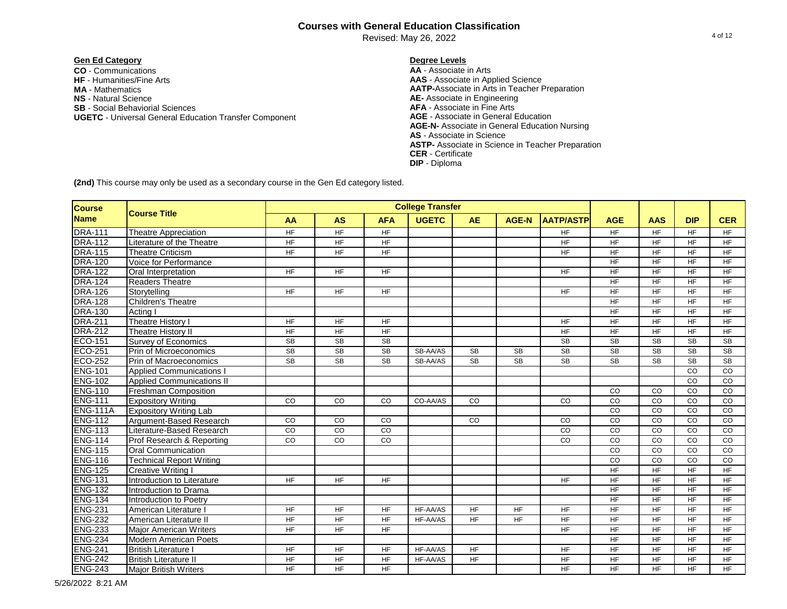Revised: May 26, 2022

# **Gen Ed Category Degree Levels**

**CO** - Communications **AA** - Associate in Arts **NS** - Natural Science **AE-** Associate in Engineering **SB** - Social Behaviorial Sciences **AFA** - Associate in Fine Arts **UGETC - Universal General Education Transfer Component MA** - Mathematics

**AAS** - Associate in Applied Science **AATP-**Associate in Arts in Teacher Preparation **AGE-N-** Associate in General Education Nursing **AS** - Associate in Science **ASTP-** Associate in Science in Teacher Preparation **CER** - Certificate **DIP** - Diploma

| <b>Course</b>   |                                  |                |                |                | <b>College Transfer</b> |                |              |                  |                 |                 |                |                |
|-----------------|----------------------------------|----------------|----------------|----------------|-------------------------|----------------|--------------|------------------|-----------------|-----------------|----------------|----------------|
| <b>Name</b>     | <b>Course Title</b>              | AA             | <b>AS</b>      | <b>AFA</b>     | <b>UGETC</b>            | <b>AE</b>      | <b>AGE-N</b> | <b>AATP/ASTP</b> | <b>AGE</b>      | <b>AAS</b>      | <b>DIP</b>     | <b>CER</b>     |
| <b>DRA-111</b>  | <b>Theatre Appreciation</b>      | <b>HF</b>      | HF             | <b>HF</b>      |                         |                |              | <b>HF</b>        | HF              | <b>HF</b>       | <b>HF</b>      | <b>HF</b>      |
| <b>DRA-112</b>  | Literature of the Theatre        | <b>HF</b>      | $H_{\text{F}}$ | $H_{\text{F}}$ |                         |                |              | <b>HF</b>        | <b>HF</b>       | $\overline{HF}$ | <b>HF</b>      | <b>HF</b>      |
| <b>DRA-115</b>  | <b>Theatre Criticism</b>         | <b>HF</b>      | <b>HF</b>      | <b>HF</b>      |                         |                |              | <b>HF</b>        | <b>HF</b>       | <b>HF</b>       | <b>HF</b>      | <b>HF</b>      |
| <b>DRA-120</b>  | Voice for Performance            |                |                |                |                         |                |              |                  | <b>HF</b>       | <b>HF</b>       | <b>HF</b>      | <b>HF</b>      |
| <b>DRA-122</b>  | Oral Interpretation              | <b>HF</b>      | <b>HF</b>      | <b>HF</b>      |                         |                |              | <b>HF</b>        | <b>HF</b>       | <b>HF</b>       | <b>HF</b>      | <b>HF</b>      |
| <b>DRA-124</b>  | <b>Readers Theatre</b>           |                |                |                |                         |                |              |                  | $\overline{HF}$ | <b>HF</b>       | <b>HF</b>      | <b>HF</b>      |
| <b>DRA-126</b>  | Storytelling                     | <b>HF</b>      | $H_{\text{F}}$ | $H_{\text{F}}$ |                         |                |              | <b>HF</b>        | <b>HF</b>       | $\overline{HF}$ | $H_{\text{F}}$ | $H_{\text{F}}$ |
| <b>DRA-128</b>  | Children's Theatre               |                |                |                |                         |                |              |                  | $\overline{HF}$ | $\overline{HF}$ | $H_{\text{F}}$ | $H_{\text{F}}$ |
| <b>DRA-130</b>  | Actina I                         |                |                |                |                         |                |              |                  | <b>HF</b>       | <b>HF</b>       | <b>HF</b>      | <b>HF</b>      |
| <b>DRA-211</b>  | <b>Theatre History I</b>         | <b>HF</b>      | HF             | HF             |                         |                |              | <b>HF</b>        | <b>HF</b>       | HF              | <b>HF</b>      | <b>HF</b>      |
| <b>DRA-212</b>  | Theatre History II               | <b>HF</b>      | HF             | <b>HF</b>      |                         |                |              | HF               | <b>HF</b>       | <b>HF</b>       | <b>HF</b>      | <b>HF</b>      |
| ECO-151         | <b>Survey of Economics</b>       | SB             | <b>SB</b>      | <b>SB</b>      |                         |                |              | SB               | <b>SB</b>       | <b>SB</b>       | <b>SB</b>      | <b>SB</b>      |
| <b>ECO-251</b>  | Prin of Microeconomics           | <b>SB</b>      | <b>SB</b>      | <b>SB</b>      | SB-AA/AS                | <b>SB</b>      | <b>SB</b>    | <b>SB</b>        | <b>SB</b>       | <b>SB</b>       | <b>SB</b>      | <b>SB</b>      |
| <b>ECO-252</b>  | Prin of Macroeconomics           | <b>SB</b>      | <b>SB</b>      | <b>SB</b>      | SB-AA/AS                | <b>SB</b>      | <b>SB</b>    | <b>SB</b>        | <b>SB</b>       | <b>SB</b>       | <b>SB</b>      | <b>SB</b>      |
| <b>ENG-101</b>  | <b>Applied Communications I</b>  |                |                |                |                         |                |              |                  |                 |                 | CO             | CO             |
| <b>ENG-102</b>  | <b>Applied Communications II</b> |                |                |                |                         |                |              |                  |                 |                 | CO             | CO             |
| <b>ENG-110</b>  | <b>Freshman Composition</b>      |                |                |                |                         |                |              |                  | CO              | CO              | CO             | CO             |
| <b>ENG-111</b>  | <b>Expository Writing</b>        | CO             | CO             | CO             | CO-AA/AS                | CO             |              | CO               | CO              | CO              | CO             | CO             |
| <b>ENG-111A</b> | <b>Expository Writing Lab</b>    |                |                |                |                         |                |              |                  | CO              | CO              | CO             | CO             |
| <b>ENG-112</b>  | Argument-Based Research          | CO             | CO             | CO             |                         | CO             |              | CO               | CO              | CO              | CO             | CO             |
| <b>ENG-113</b>  | Literature-Based Research        | CO             | CO             | CO             |                         |                |              | CO               | CO              | CO              | CO             | $_{\rm CO}$    |
| <b>ENG-114</b>  | Prof Research & Reporting        | CO             | $_{\rm CO}$    | CO             |                         |                |              | CO               | CO              | CO              | CO             | $_{\rm CO}$    |
| <b>ENG-115</b>  | <b>Oral Communication</b>        |                |                |                |                         |                |              |                  | CO              | CO              | CO             | CO             |
| <b>ENG-116</b>  | <b>Technical Report Writing</b>  |                |                |                |                         |                |              |                  | CO              | CO              | CO             | CO             |
| <b>ENG-125</b>  | <b>Creative Writing I</b>        |                |                |                |                         |                |              |                  | $\overline{HF}$ | HF              | $H_{\text{F}}$ | $H_{\text{F}}$ |
| <b>ENG-131</b>  | Introduction to Literature       | <b>HF</b>      | <b>HF</b>      | HF             |                         |                |              | <b>HF</b>        | $\overline{HF}$ | $\overline{HF}$ | $H_{\text{F}}$ | $H_{\text{F}}$ |
| <b>ENG-132</b>  | Introduction to Drama            |                |                |                |                         |                |              |                  | <b>HF</b>       | <b>HF</b>       | <b>HF</b>      | <b>HF</b>      |
| <b>ENG-134</b>  | Introduction to Poetry           |                |                |                |                         |                |              |                  | <b>HF</b>       | <b>HF</b>       | <b>HF</b>      | <b>HF</b>      |
| <b>ENG-231</b>  | American Literature I            | <b>HF</b>      | <b>HF</b>      | <b>HF</b>      | HF-AA/AS                | <b>HF</b>      | <b>HF</b>    | <b>HF</b>        | <b>HF</b>       | <b>HF</b>       | <b>HF</b>      | <b>HF</b>      |
| <b>ENG-232</b>  | American Literature II           | <b>HF</b>      | <b>HF</b>      | <b>HF</b>      | HF-AA/AS                | <b>HF</b>      | <b>HF</b>    | <b>HF</b>        | <b>HF</b>       | <b>HF</b>       | <b>HF</b>      | <b>HF</b>      |
| <b>ENG-233</b>  | <b>Major American Writers</b>    | <b>HF</b>      | <b>HF</b>      | <b>HF</b>      |                         |                |              | <b>HF</b>        | <b>HF</b>       | <b>HF</b>       | <b>HF</b>      | HF             |
| <b>ENG-234</b>  | <b>Modern American Poets</b>     |                |                |                |                         |                |              |                  | $\overline{HF}$ | $\overline{HF}$ | $H_{\text{F}}$ | $H_{\text{F}}$ |
| <b>ENG-241</b>  | <b>British Literature I</b>      | $H_{\text{F}}$ | $H_F$          | HF             | HF-AA/AS                | H <sub>F</sub> |              | <b>HF</b>        | $H_F$           | $\overline{HF}$ | $H_{\text{F}}$ | $H_{\text{F}}$ |
| <b>ENG-242</b>  | <b>British Literature II</b>     | <b>HF</b>      | HF             | <b>HF</b>      | HF-AA/AS                | <b>HF</b>      |              | <b>HF</b>        | HF              | <b>HF</b>       | <b>HF</b>      | <b>HF</b>      |
| <b>ENG-243</b>  | <b>Major British Writers</b>     | <b>HF</b>      | <b>HF</b>      | <b>HF</b>      |                         |                |              | <b>HF</b>        | <b>HF</b>       | <b>HF</b>       | <b>HF</b>      | <b>HF</b>      |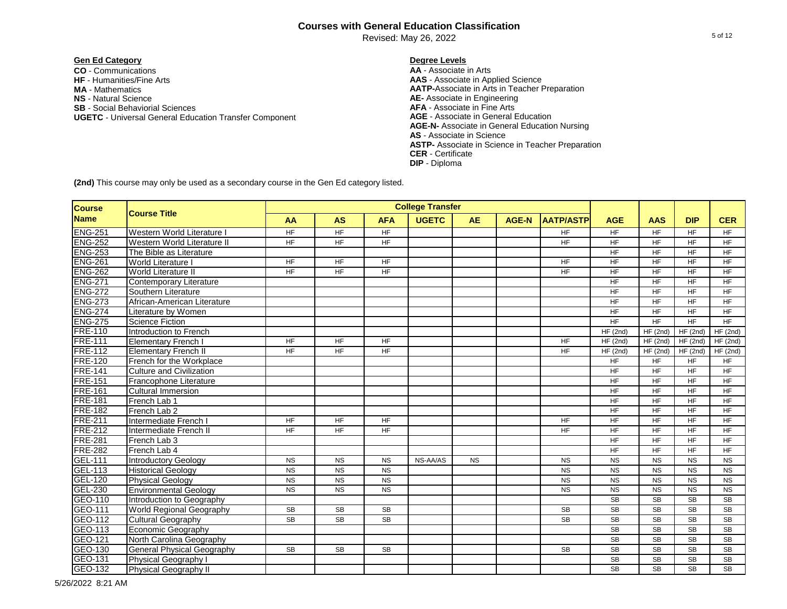Revised: May 26, 2022

# **Gen Ed Category Degree Levels**

**CO** - Communications **AA** - Associate in Arts **NS** - Natural Science **AE-** Associate in Engineering **SB** - Social Behaviorial Sciences **AFA** - Associate in Fine Arts **UGETC - Universal General Education Transfer Component MA** - Mathematics

**AAS** - Associate in Applied Science **AATP-**Associate in Arts in Teacher Preparation **AGE-N-** Associate in General Education Nursing **AS** - Associate in Science **ASTP-** Associate in Science in Teacher Preparation **CER** - Certificate **DIP** - Diploma

| <b>Course</b>  |                                   |                 |                |                 | <b>College Transfer</b> |           |              |                  |                 |                 |                |                        |
|----------------|-----------------------------------|-----------------|----------------|-----------------|-------------------------|-----------|--------------|------------------|-----------------|-----------------|----------------|------------------------|
| <b>Name</b>    | <b>Course Title</b>               | AA              | <b>AS</b>      | <b>AFA</b>      | <b>UGETC</b>            | <b>AE</b> | <b>AGE-N</b> | <b>AATP/ASTP</b> | <b>AGE</b>      | <b>AAS</b>      | <b>DIP</b>     | <b>CER</b>             |
| <b>ENG-251</b> | Western World Literature          | <b>HF</b>       | HF             | <b>HF</b>       |                         |           |              | <b>HF</b>        | $H_F$           | <b>HF</b>       | <b>HF</b>      | $H_{\text{F}}$         |
| <b>ENG-252</b> | Western World Literature II       | $\overline{HF}$ | $H_{\text{F}}$ | $\overline{HF}$ |                         |           |              | $H_{\text{F}}$   | $\overline{HF}$ | $\overline{HF}$ | $H_{\text{F}}$ | $H_{\text{F}}$         |
| <b>ENG-253</b> | The Bible as Literature           |                 |                |                 |                         |           |              |                  | $\overline{HF}$ | $\overline{HF}$ | $H_{\text{F}}$ | $H_{\text{F}}$         |
| <b>ENG-261</b> | <b>World Literature I</b>         | <b>HF</b>       | HF             | <b>HF</b>       |                         |           |              | <b>HF</b>        | <b>HF</b>       | HF              | <b>HF</b>      | <b>HF</b>              |
| <b>ENG-262</b> | <b>World Literature II</b>        | <b>HF</b>       | $H_{\text{F}}$ | <b>HF</b>       |                         |           |              | <b>HF</b>        | <b>HF</b>       | <b>HF</b>       | <b>HF</b>      | <b>HF</b>              |
| <b>ENG-271</b> | Contemporary Literature           |                 |                |                 |                         |           |              |                  | <b>HF</b>       | <b>HF</b>       | <b>HF</b>      | <b>HF</b>              |
| <b>ENG-272</b> | Southern Literature               |                 |                |                 |                         |           |              |                  | HF              | <b>HF</b>       | <b>HF</b>      | <b>HF</b>              |
| <b>ENG-273</b> | African-American Literature       |                 |                |                 |                         |           |              |                  | HF              | HF              | <b>HF</b>      | <b>HF</b>              |
| <b>ENG-274</b> | Literature by Women               |                 |                |                 |                         |           |              |                  | HF              | $\overline{HF}$ | $H_{\text{F}}$ | <b>HF</b>              |
| <b>ENG-275</b> | <b>Science Fiction</b>            |                 |                |                 |                         |           |              |                  | $\overline{HF}$ | $\overline{HF}$ | $H_{\text{F}}$ | $\overline{HF}$        |
| <b>FRE-110</b> | Introduction to French            |                 |                |                 |                         |           |              |                  | HF(2nd)         | HF(2nd)         | HF(2nd)        | HF(2nd)                |
| <b>FRE-111</b> | <b>Elementary French I</b>        | <b>HF</b>       | <b>HF</b>      | <b>HF</b>       |                         |           |              | <b>HF</b>        | HF(2nd)         | HF(2nd)         | HF(2nd)        | HF(2nd)                |
| <b>FRE-112</b> | <b>Elementary French II</b>       | <b>HF</b>       | <b>HF</b>      | HF              |                         |           |              | <b>HF</b>        | HF(2nd)         | HF(2nd)         | HF(2nd)        | HF(2nd)                |
| <b>FRE-120</b> | French for the Workplace          |                 |                |                 |                         |           |              |                  | HF              | HF              | <b>HF</b>      | HF                     |
| <b>FRE-141</b> | <b>Culture and Civilization</b>   |                 |                |                 |                         |           |              |                  | HF              | HF              | <b>HF</b>      | HF                     |
| <b>FRE-151</b> | Francophone Literature            |                 |                |                 |                         |           |              |                  | <b>HF</b>       | HF              | <b>HF</b>      | <b>HF</b>              |
| <b>FRE-161</b> | <b>Cultural Immersion</b>         |                 |                |                 |                         |           |              |                  | <b>HF</b>       | <b>HF</b>       | <b>HF</b>      | <b>HF</b>              |
| <b>FRE-181</b> | French Lab 1                      |                 |                |                 |                         |           |              |                  | <b>HF</b>       | <b>HF</b>       | <b>HF</b>      | <b>HF</b>              |
| <b>FRE-182</b> | French Lab 2                      |                 |                |                 |                         |           |              |                  | <b>HF</b>       | <b>HF</b>       | <b>HF</b>      | <b>HF</b>              |
| <b>FRE-211</b> | Intermediate French I             | <b>HF</b>       | <b>HF</b>      | <b>HF</b>       |                         |           |              | <b>HF</b>        | <b>HF</b>       | <b>HF</b>       | <b>HF</b>      | <b>HF</b>              |
| <b>FRE-212</b> | Intermediate French II            | <b>HF</b>       | <b>HF</b>      | <b>HF</b>       |                         |           |              | <b>HF</b>        | <b>HF</b>       | <b>HF</b>       | <b>HF</b>      | <b>HF</b>              |
| <b>FRE-281</b> | French Lab 3                      |                 |                |                 |                         |           |              |                  | <b>HF</b>       | <b>HF</b>       | <b>HF</b>      | <b>HF</b>              |
| <b>FRE-282</b> | French Lab 4                      |                 |                |                 |                         |           |              |                  | HF              | <b>HF</b>       | <b>HF</b>      | <b>HF</b>              |
| <b>GEL-111</b> | <b>Introductory Geology</b>       | <b>NS</b>       | <b>NS</b>      | <b>NS</b>       | NS-AA/AS                | <b>NS</b> |              | <b>NS</b>        | <b>NS</b>       | <b>NS</b>       | <b>NS</b>      | <b>NS</b>              |
| <b>GEL-113</b> | <b>Historical Geology</b>         | <b>NS</b>       | <b>NS</b>      | <b>NS</b>       |                         |           |              | <b>NS</b>        | <b>NS</b>       | <b>NS</b>       | <b>NS</b>      | <b>NS</b>              |
| <b>GEL-120</b> | <b>Physical Geology</b>           | <b>NS</b>       | <b>NS</b>      | <b>NS</b>       |                         |           |              | <b>NS</b>        | <b>NS</b>       | <b>NS</b>       | <b>NS</b>      | <b>NS</b>              |
| GEL-230        | <b>Environmental Geology</b>      | <b>NS</b>       | <b>NS</b>      | <b>NS</b>       |                         |           |              | <b>NS</b>        | <b>NS</b>       | <b>NS</b>       | <b>NS</b>      | <b>NS</b>              |
| GEO-110        | Introduction to Geography         |                 |                |                 |                         |           |              |                  | <b>SB</b>       | <b>SB</b>       | <b>SB</b>      | $\overline{\text{SB}}$ |
| GEO-111        | <b>World Regional Geography</b>   | <b>SB</b>       | <b>SB</b>      | <b>SB</b>       |                         |           |              | <b>SB</b>        | <b>SB</b>       | <b>SB</b>       | <b>SB</b>      | $\overline{\text{SB}}$ |
| GEO-112        | <b>Cultural Geography</b>         | <b>SB</b>       | <b>SB</b>      | <b>SB</b>       |                         |           |              | <b>SB</b>        | SB              | <b>SB</b>       | <b>SB</b>      | <b>SB</b>              |
| GEO-113        | <b>Economic Geography</b>         |                 |                |                 |                         |           |              |                  | SB              | <b>SB</b>       | <b>SB</b>      | <b>SB</b>              |
| GEO-121        | North Carolina Geography          |                 |                |                 |                         |           |              |                  | <b>SB</b>       | <b>SB</b>       | <b>SB</b>      | <b>SB</b>              |
| GEO-130        | <b>General Physical Geography</b> | <b>SB</b>       | <b>SB</b>      | <b>SB</b>       |                         |           |              | <b>SB</b>        | SB              | <b>SB</b>       | <b>SB</b>      | <b>SB</b>              |
| GEO-131        | Physical Geography I              |                 |                |                 |                         |           |              |                  | <b>SB</b>       | <b>SB</b>       | <b>SB</b>      | <b>SB</b>              |
| GEO-132        | Physical Geography II             |                 |                |                 |                         |           |              |                  | <b>SB</b>       | <b>SB</b>       | <b>SB</b>      | SB                     |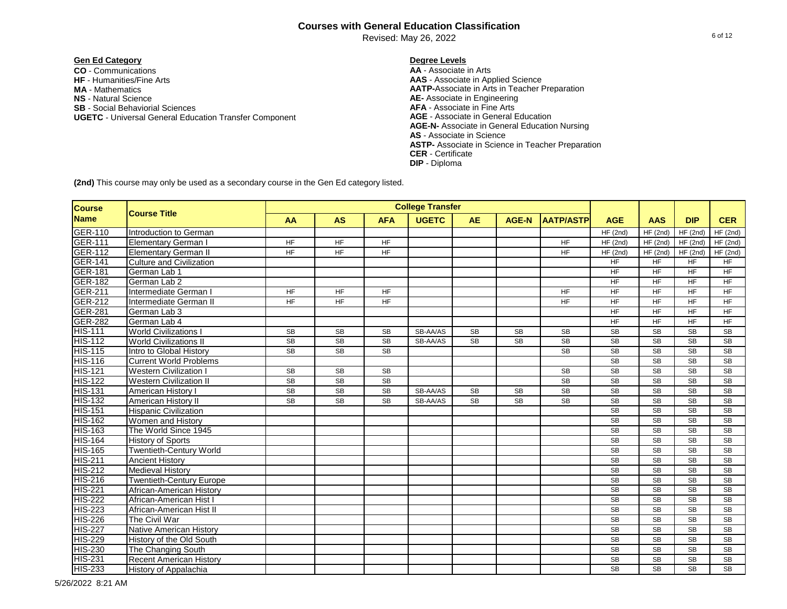Revised: May 26, 2022

### **Gen Ed Category Degree Levels**

**CO** - Communications **AA** - Associate in Arts **NS** - Natural Science **AE-** Associate in Engineering **SB** - Social Behaviorial Sciences **AFA** - Associate in Fine Arts **UGETC - Universal General Education Transfer Component MA** - Mathematics

**AAS** - Associate in Applied Science **AATP-**Associate in Arts in Teacher Preparation **AGE-N-** Associate in General Education Nursing **AS** - Associate in Science **ASTP-** Associate in Science in Teacher Preparation **CER** - Certificate **DIP** - Diploma

| <b>Course</b>  |                                 |           |           |            | <b>College Transfer</b> |           |              |                  |                        |            |            |                        |
|----------------|---------------------------------|-----------|-----------|------------|-------------------------|-----------|--------------|------------------|------------------------|------------|------------|------------------------|
| <b>Name</b>    | <b>Course Title</b>             | <b>AA</b> | <b>AS</b> | <b>AFA</b> | <b>UGETC</b>            | <b>AE</b> | <b>AGE-N</b> | <b>AATP/ASTP</b> | <b>AGE</b>             | <b>AAS</b> | <b>DIP</b> | <b>CER</b>             |
| <b>GER-110</b> | Introduction to German          |           |           |            |                         |           |              |                  | HF(2nd)                | HF(2nd)    | HF(2nd)    | HF(2nd)                |
| <b>GER-111</b> | <b>Elementary German I</b>      | <b>HF</b> | <b>HF</b> | <b>HF</b>  |                         |           |              | <b>HF</b>        | HF(2nd)                | HF(2nd)    | HF(2nd)    | HF(2nd)                |
| <b>GER-112</b> | <b>Elementary German II</b>     | <b>HF</b> | <b>HF</b> | <b>HF</b>  |                         |           |              | <b>HF</b>        | HF(2nd)                | HF(2nd)    | HF(2nd)    | HF(2nd)                |
| <b>GER-141</b> | <b>Culture and Civilization</b> |           |           |            |                         |           |              |                  | <b>HF</b>              | <b>HF</b>  | <b>HF</b>  | <b>HF</b>              |
| <b>GER-181</b> | German Lab 1                    |           |           |            |                         |           |              |                  | <b>HF</b>              | <b>HF</b>  | <b>HF</b>  | <b>HF</b>              |
| <b>GER-182</b> | German Lab 2                    |           |           |            |                         |           |              |                  | <b>HF</b>              | <b>HF</b>  | <b>HF</b>  | <b>HF</b>              |
| <b>GER-211</b> | Intermediate German I           | <b>HF</b> | <b>HF</b> | <b>HF</b>  |                         |           |              | <b>HF</b>        | <b>HF</b>              | <b>HF</b>  | <b>HF</b>  | <b>HF</b>              |
| <b>GER-212</b> | Intermediate German II          | <b>HF</b> | <b>HF</b> | <b>HF</b>  |                         |           |              | <b>HF</b>        | <b>HF</b>              | <b>HF</b>  | <b>HF</b>  | <b>HF</b>              |
| <b>GER-281</b> | German Lab 3                    |           |           |            |                         |           |              |                  | <b>HF</b>              | <b>HF</b>  | <b>HF</b>  | <b>HF</b>              |
| <b>GER-282</b> | German Lab 4                    |           |           |            |                         |           |              |                  | <b>HF</b>              | <b>HF</b>  | <b>HF</b>  | <b>HF</b>              |
| <b>HIS-111</b> | <b>World Civilizations I</b>    | <b>SB</b> | <b>SB</b> | <b>SB</b>  | SB-AA/AS                | <b>SB</b> | <b>SB</b>    | <b>SB</b>        | SB                     | <b>SB</b>  | <b>SB</b>  | <b>SB</b>              |
| <b>HIS-112</b> | <b>World Civilizations II</b>   | <b>SB</b> | <b>SB</b> | <b>SB</b>  | SB-AA/AS                | <b>SB</b> | <b>SB</b>    | <b>SB</b>        | <b>SB</b>              | <b>SB</b>  | <b>SB</b>  | <b>SB</b>              |
| <b>HIS-115</b> | Intro to Global History         | <b>SB</b> | <b>SB</b> | <b>SB</b>  |                         |           |              | <b>SB</b>        | <b>SB</b>              | <b>SB</b>  | <b>SB</b>  | <b>SB</b>              |
| <b>HIS-116</b> | <b>Current World Problems</b>   |           |           |            |                         |           |              |                  | <b>SB</b>              | <b>SB</b>  | <b>SB</b>  | <b>SB</b>              |
| <b>HIS-121</b> | <b>Western Civilization</b>     | <b>SB</b> | <b>SB</b> | <b>SB</b>  |                         |           |              | <b>SB</b>        | <b>SB</b>              | <b>SB</b>  | <b>SB</b>  | <b>SB</b>              |
| <b>HIS-122</b> | <b>Western Civilization II</b>  | <b>SB</b> | <b>SB</b> | <b>SB</b>  |                         |           |              | <b>SB</b>        | SB                     | <b>SB</b>  | <b>SB</b>  | <b>SB</b>              |
| <b>HIS-131</b> | American History I              | <b>SB</b> | SB        | <b>SB</b>  | SB-AA/AS                | <b>SB</b> | <b>SB</b>    | SB               | SB                     | <b>SB</b>  | <b>SB</b>  | <b>SB</b>              |
| <b>HIS-132</b> | American History II             | <b>SB</b> | <b>SB</b> | <b>SB</b>  | SB-AA/AS                | <b>SB</b> | <b>SB</b>    | <b>SB</b>        | <b>SB</b>              | <b>SB</b>  | <b>SB</b>  | <b>SB</b>              |
| <b>HIS-151</b> | <b>Hispanic Civilization</b>    |           |           |            |                         |           |              |                  | <b>SB</b>              | <b>SB</b>  | <b>SB</b>  | <b>SB</b>              |
| <b>HIS-162</b> | Women and History               |           |           |            |                         |           |              |                  | <b>SB</b>              | <b>SB</b>  | <b>SB</b>  | <b>SB</b>              |
| <b>HIS-163</b> | The World Since 1945            |           |           |            |                         |           |              |                  | <b>SB</b>              | <b>SB</b>  | <b>SB</b>  | <b>SB</b>              |
| <b>HIS-164</b> | <b>History of Sports</b>        |           |           |            |                         |           |              |                  | <b>SB</b>              | <b>SB</b>  | <b>SB</b>  | <b>SB</b>              |
| <b>HIS-165</b> | <b>Twentieth-Century World</b>  |           |           |            |                         |           |              |                  | <b>SB</b>              | <b>SB</b>  | <b>SB</b>  | <b>SB</b>              |
| <b>HIS-211</b> | <b>Ancient History</b>          |           |           |            |                         |           |              |                  | <b>SB</b>              | <b>SB</b>  | <b>SB</b>  | <b>SB</b>              |
| <b>HIS-212</b> | <b>Medieval History</b>         |           |           |            |                         |           |              |                  | <b>SB</b>              | <b>SB</b>  | <b>SB</b>  | <b>SB</b>              |
| <b>HIS-216</b> | <b>Twentieth-Century Europe</b> |           |           |            |                         |           |              |                  | <b>SB</b>              | <b>SB</b>  | <b>SB</b>  | <b>SB</b>              |
| <b>HIS-221</b> | African-American History        |           |           |            |                         |           |              |                  | <b>SB</b>              | <b>SB</b>  | <b>SB</b>  | <b>SB</b>              |
| <b>HIS-222</b> | African-American Hist I         |           |           |            |                         |           |              |                  | <b>SB</b>              | <b>SB</b>  | <b>SB</b>  | <b>SB</b>              |
| <b>HIS-223</b> | African-American Hist II        |           |           |            |                         |           |              |                  | <b>SB</b>              | <b>SB</b>  | <b>SB</b>  | <b>SB</b>              |
| <b>HIS-226</b> | The Civil War                   |           |           |            |                         |           |              |                  | <b>SB</b>              | <b>SB</b>  | <b>SB</b>  | <b>SB</b>              |
| <b>HIS-227</b> | <b>Native American History</b>  |           |           |            |                         |           |              |                  | <b>SB</b>              | <b>SB</b>  | <b>SB</b>  | <b>SB</b>              |
| <b>HIS-229</b> | History of the Old South        |           |           |            |                         |           |              |                  | <b>SB</b>              | <b>SB</b>  | <b>SB</b>  | <b>SB</b>              |
| <b>HIS-230</b> | The Changing South              |           |           |            |                         |           |              |                  | <b>SB</b>              | <b>SB</b>  | <b>SB</b>  | <b>SB</b>              |
| <b>HIS-231</b> | <b>Recent American History</b>  |           |           |            |                         |           |              |                  | <b>SB</b>              | <b>SB</b>  | <b>SB</b>  | <b>SB</b>              |
| <b>HIS-233</b> | <b>History of Appalachia</b>    |           |           |            |                         |           |              |                  | $\overline{\text{SB}}$ | <b>SB</b>  | <b>SB</b>  | $\overline{\text{SB}}$ |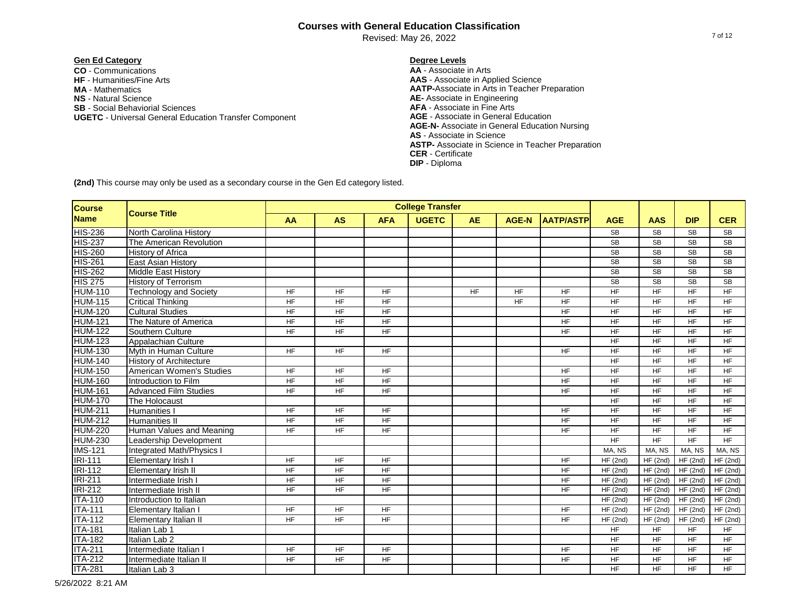Revised: May 26, 2022

# **Gen Ed Category Degree Levels**

**CO** - Communications **AA** - Associate in Arts **NS** - Natural Science **AE-** Associate in Engineering **SB** - Social Behaviorial Sciences **AFA** - Associate in Fine Arts **UGETC - Universal General Education Transfer Component MA** - Mathematics

**AAS** - Associate in Applied Science **AATP-**Associate in Arts in Teacher Preparation **AGE-N-** Associate in General Education Nursing **AS** - Associate in Science **ASTP-** Associate in Science in Teacher Preparation **CER** - Certificate **DIP** - Diploma

| <b>Course</b>  |                                  |                |                |                | <b>College Transfer</b> |           |              |                  |                |                |                |                |
|----------------|----------------------------------|----------------|----------------|----------------|-------------------------|-----------|--------------|------------------|----------------|----------------|----------------|----------------|
| <b>Name</b>    | <b>Course Title</b>              | <b>AA</b>      | <b>AS</b>      | <b>AFA</b>     | <b>UGETC</b>            | <b>AE</b> | <b>AGE-N</b> | <b>AATP/ASTP</b> | <b>AGE</b>     | <b>AAS</b>     | <b>DIP</b>     | <b>CER</b>     |
| <b>HIS-236</b> | North Carolina History           |                |                |                |                         |           |              |                  | <b>SB</b>      | <b>SB</b>      | <b>SB</b>      | SB             |
| <b>HIS-237</b> | The American Revolution          |                |                |                |                         |           |              |                  | <b>SB</b>      | <b>SB</b>      | <b>SB</b>      | <b>SB</b>      |
| <b>HIS-260</b> | <b>History of Africa</b>         |                |                |                |                         |           |              |                  | SB             | <b>SB</b>      | <b>SB</b>      | <b>SB</b>      |
| <b>HIS-261</b> | East Asian History               |                |                |                |                         |           |              |                  | <b>SB</b>      | <b>SB</b>      | <b>SB</b>      | <b>SB</b>      |
| <b>HIS-262</b> | <b>Middle East History</b>       |                |                |                |                         |           |              |                  | SB             | <b>SB</b>      | <b>SB</b>      | <b>SB</b>      |
| <b>HIS 275</b> | <b>History of Terrorism</b>      |                |                |                |                         |           |              |                  | <b>SB</b>      | <b>SB</b>      | <b>SB</b>      | <b>SB</b>      |
| <b>HUM-110</b> | <b>Technology and Society</b>    | <b>HF</b>      | <b>HF</b>      | $H_{\text{F}}$ |                         | <b>HF</b> | <b>HF</b>    | <b>HF</b>        | $H_{\text{F}}$ | $H_{\text{F}}$ | $H_{\text{F}}$ | $H_{\text{F}}$ |
| <b>HUM-115</b> | <b>Critical Thinking</b>         | <b>HF</b>      | $H_{\text{F}}$ | $H_{\text{F}}$ |                         |           | <b>HF</b>    | <b>HF</b>        | $H_{\text{F}}$ | $H_{\text{F}}$ | $H_{\text{F}}$ | $H_{\text{F}}$ |
| <b>HUM-120</b> | <b>Cultural Studies</b>          | <b>HF</b>      | <b>HF</b>      | <b>HF</b>      |                         |           |              | <b>HF</b>        | <b>HF</b>      | <b>HF</b>      | <b>HF</b>      | <b>HF</b>      |
| <b>HUM-121</b> | The Nature of America            | <b>HF</b>      | $H_{\text{F}}$ | $H_{\text{F}}$ |                         |           |              | <b>HF</b>        | HF             | <b>HF</b>      | <b>HF</b>      | <b>HF</b>      |
| <b>HUM-122</b> | Southern Culture                 | <b>HF</b>      | <b>HF</b>      | <b>HF</b>      |                         |           |              | <b>HF</b>        | <b>HF</b>      | <b>HF</b>      | <b>HF</b>      | <b>HF</b>      |
| <b>HUM-123</b> | Appalachian Culture              |                |                |                |                         |           |              |                  | <b>HF</b>      | <b>HF</b>      | <b>HF</b>      | <b>HF</b>      |
| <b>HUM-130</b> | Myth in Human Culture            | <b>HF</b>      | <b>HF</b>      | <b>HF</b>      |                         |           |              | <b>HF</b>        | <b>HF</b>      | <b>HF</b>      | <b>HF</b>      | <b>HF</b>      |
| <b>HUM-140</b> | <b>History of Architecture</b>   |                |                |                |                         |           |              |                  | <b>HF</b>      | <b>HF</b>      | <b>HF</b>      | <b>HF</b>      |
| <b>HUM-150</b> | American Women's Studies         | <b>HF</b>      | <b>HF</b>      | <b>HF</b>      |                         |           |              | <b>HF</b>        | <b>HF</b>      | <b>HF</b>      | <b>HF</b>      | <b>HF</b>      |
| <b>HUM-160</b> | Introduction to Film             | HF             | <b>HF</b>      | <b>HF</b>      |                         |           |              | <b>HF</b>        | <b>HF</b>      | <b>HF</b>      | <b>HF</b>      | <b>HF</b>      |
| <b>HUM-161</b> | <b>Advanced Film Studies</b>     | <b>HF</b>      | <b>HF</b>      | <b>HF</b>      |                         |           |              | <b>HF</b>        | <b>HF</b>      | <b>HF</b>      | <b>HF</b>      | <b>HF</b>      |
| <b>HUM-170</b> | The Holocaust                    |                |                |                |                         |           |              |                  | HF             | <b>HF</b>      | <b>HF</b>      | <b>HF</b>      |
| <b>HUM-211</b> | <b>Humanities I</b>              | HF             | <b>HF</b>      | <b>HF</b>      |                         |           |              | <b>HF</b>        | HF             | <b>HF</b>      | <b>HF</b>      | <b>HF</b>      |
| <b>HUM-212</b> | <b>Humanities II</b>             | <b>HF</b>      | <b>HF</b>      | <b>HF</b>      |                         |           |              | <b>HF</b>        | HF             | <b>HF</b>      | <b>HF</b>      | <b>HF</b>      |
| <b>HUM-220</b> | Human Values and Meaning         | $H_{\text{F}}$ | <b>HF</b>      | <b>HF</b>      |                         |           |              | <b>HF</b>        | $H_{\text{F}}$ | <b>HF</b>      | <b>HF</b>      | <b>HF</b>      |
| <b>HUM-230</b> | Leadership Development           |                |                |                |                         |           |              |                  | $H_{\text{F}}$ | HF             | H <sub>F</sub> | <b>HF</b>      |
| <b>IMS-121</b> | <b>Integrated Math/Physics I</b> |                |                |                |                         |           |              |                  | MA, NS         | MA, NS         | MA, NS         | MA, NS         |
| <b>IRI-111</b> | Elementary Irish I               | <b>HF</b>      | <b>HF</b>      | HF             |                         |           |              | <b>HF</b>        | HF(2nd)        | HF(2nd)        | HF(2nd)        | HF(2nd)        |
| <b>IRI-112</b> | Elementary Irish II              | <b>HF</b>      | <b>HF</b>      | <b>HF</b>      |                         |           |              | <b>HF</b>        | HF(2nd)        | HF(2nd)        | HF(2nd)        | HF(2nd)        |
| <b>IRI-211</b> | Intermediate Irish I             | <b>HF</b>      | <b>HF</b>      | <b>HF</b>      |                         |           |              | <b>HF</b>        | HF(2nd)        | HF(2nd)        | HF(2nd)        | HF(2nd)        |
| <b>IRI-212</b> | Intermediate Irish II            | <b>HF</b>      | <b>HF</b>      | <b>HF</b>      |                         |           |              | <b>HF</b>        | HF(2nd)        | HF(2nd)        | HF(2nd)        | HF(2nd)        |
| <b>ITA-110</b> | Introduction to Italian          |                |                |                |                         |           |              |                  | HF(2nd)        | HF(2nd)        | HF(2nd)        | HF(2nd)        |
| <b>ITA-111</b> | Elementary Italian I             | HF             | <b>HF</b>      | <b>HF</b>      |                         |           |              | <b>HF</b>        | HF(2nd)        | HF(2nd)        | HF(2nd)        | HF(2nd)        |
| <b>ITA-112</b> | Elementary Italian II            | $H_{\text{F}}$ | HF             | $H_{\text{F}}$ |                         |           |              | $H_{\text{F}}$   | HF(2nd)        | HF(2nd)        | HF(2nd)        | HF(2nd)        |
| <b>ITA-181</b> | Italian Lab 1                    |                |                |                |                         |           |              |                  | <b>HF</b>      | <b>HF</b>      | <b>HF</b>      | <b>HF</b>      |
| <b>ITA-182</b> | Italian Lab 2                    |                |                |                |                         |           |              |                  | <b>HF</b>      | <b>HF</b>      | <b>HF</b>      | <b>HF</b>      |
| <b>ITA-211</b> | Intermediate Italian I           | <b>HF</b>      | <b>HF</b>      | <b>HF</b>      |                         |           |              | <b>HF</b>        | <b>HF</b>      | <b>HF</b>      | <b>HF</b>      | <b>HF</b>      |
| <b>ITA-212</b> | Intermediate Italian II          | <b>HF</b>      | <b>HF</b>      | <b>HF</b>      |                         |           |              | <b>HF</b>        | <b>HF</b>      | <b>HF</b>      | <b>HF</b>      | <b>HF</b>      |
| <b>ITA-281</b> | Italian Lab 3                    |                |                |                |                         |           |              |                  | <b>HF</b>      | <b>HF</b>      | <b>HF</b>      | <b>HF</b>      |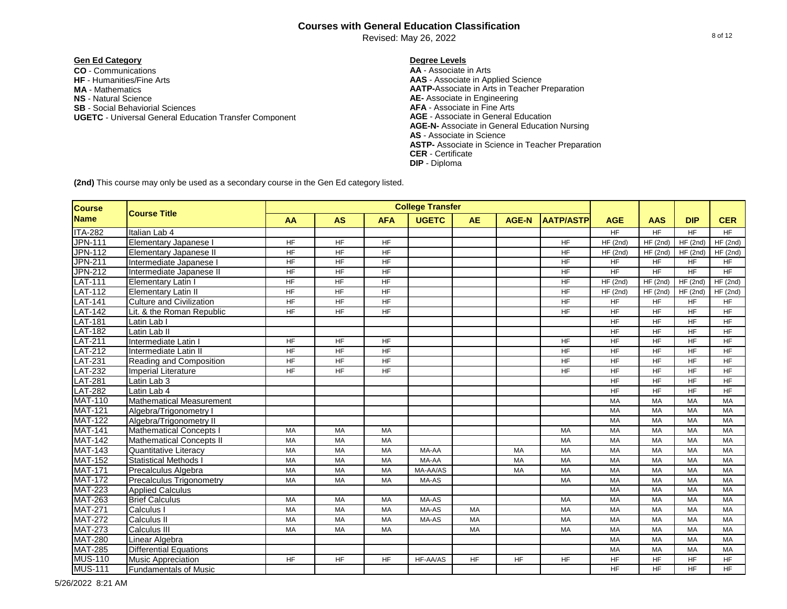Revised: May 26, 2022

# **Gen Ed Category Degree Levels**

**CO** - Communications **AA** - Associate in Arts **NS** - Natural Science **AE-** Associate in Engineering **SB** - Social Behaviorial Sciences **AFA** - Associate in Fine Arts **UGETC - Universal General Education Transfer Component MA** - Mathematics

**AAS** - Associate in Applied Science **AATP-**Associate in Arts in Teacher Preparation **AGE-N-** Associate in General Education Nursing **AS** - Associate in Science **ASTP-** Associate in Science in Teacher Preparation **CER** - Certificate **DIP** - Diploma

| Course         |                                 |                 |                |                 | <b>College Transfer</b> |           |              |                  |                |                       |                |                |
|----------------|---------------------------------|-----------------|----------------|-----------------|-------------------------|-----------|--------------|------------------|----------------|-----------------------|----------------|----------------|
| <b>Name</b>    | <b>Course Title</b>             | AA              | <b>AS</b>      | <b>AFA</b>      | <b>UGETC</b>            | <b>AE</b> | <b>AGE-N</b> | <b>AATP/ASTP</b> | <b>AGE</b>     | <b>AAS</b>            | <b>DIP</b>     | <b>CER</b>     |
| <b>ITA-282</b> | Italian Lab 4                   |                 |                |                 |                         |           |              |                  | $H_{\text{F}}$ | HF                    | $H_{\text{F}}$ | $H_{\text{F}}$ |
| <b>JPN-111</b> | Elementary Japanese I           | <b>HF</b>       | <b>HF</b>      | <b>HF</b>       |                         |           |              | <b>HF</b>        | HF(2nd)        | $HF$ (2nd)            | HF (2nd)       | HF(2nd)        |
| <b>JPN-112</b> | Elementary Japanese II          | <b>HF</b>       | $H_{\text{F}}$ | $H_{\text{F}}$  |                         |           |              | <b>HF</b>        | HF(2nd)        | HF(2nd)               | HF(2nd)        | HF(2nd)        |
| <b>JPN-211</b> | Intermediate Japanese I         | <b>HF</b>       | <b>HF</b>      | <b>HF</b>       |                         |           |              | <b>HF</b>        | <b>HF</b>      | <b>HF</b>             | <b>HF</b>      | <b>HF</b>      |
| <b>JPN-212</b> | Intermediate Japanese II        | <b>HF</b>       | <b>HF</b>      | <b>HF</b>       |                         |           |              | <b>HF</b>        | <b>HF</b>      | <b>HF</b>             | <b>HF</b>      | $H_{\text{F}}$ |
| <b>LAT-111</b> | <b>Elementary Latin I</b>       | HF              | <b>HF</b>      | H <sub>F</sub>  |                         |           |              | HF               | HF(2nd)        | HF(2nd)               | HF(2nd)        | HF(2nd)        |
| <b>LAT-112</b> | <b>Elementary Latin II</b>      | $\overline{HF}$ | H <sub>F</sub> | $H_{\text{F}}$  |                         |           |              | <b>HF</b>        | HF(2nd)        | $\overline{HF}$ (2nd) | HF(2nd)        | HF(2nd)        |
| <b>LAT-141</b> | <b>Culture and Civilization</b> | H <sub>F</sub>  | $H_{\text{F}}$ | $\overline{HF}$ |                         |           |              | $H_{\text{F}}$   | <b>HF</b>      | H <sub>F</sub>        | <b>HF</b>      | <b>HF</b>      |
| <b>LAT-142</b> | Lit. & the Roman Republic       | $H_{\text{F}}$  | $H_{\text{F}}$ | $H_{\text{F}}$  |                         |           |              | $H_{\text{F}}$   | <b>HF</b>      | H <sub>F</sub>        | $H_{\text{F}}$ | $H_{\text{F}}$ |
| <b>LAT-181</b> | Latin Lab I                     |                 |                |                 |                         |           |              |                  | $H_{\text{F}}$ | H <sub>F</sub>        | $H_{\text{F}}$ | $H_{\text{F}}$ |
| <b>LAT-182</b> | Latin Lab II                    |                 |                |                 |                         |           |              |                  | <b>HF</b>      | <b>HF</b>             | <b>HF</b>      | <b>HF</b>      |
| <b>LAT-211</b> | Intermediate Latin I            | <b>HF</b>       | <b>HF</b>      | <b>HF</b>       |                         |           |              | <b>HF</b>        | <b>HF</b>      | <b>HF</b>             | <b>HF</b>      | <b>HF</b>      |
| <b>LAT-212</b> | Intermediate Latin II           | <b>HF</b>       | <b>HF</b>      | <b>HF</b>       |                         |           |              | <b>HF</b>        | <b>HF</b>      | <b>HF</b>             | <b>HF</b>      | <b>HF</b>      |
| <b>LAT-231</b> | Reading and Composition         | H <sub>F</sub>  | H <sub>F</sub> | $H_{\text{F}}$  |                         |           |              | HF               | HF             | <b>HF</b>             | <b>HF</b>      | <b>HF</b>      |
| <b>LAT-232</b> | <b>Imperial Literature</b>      | H <sub>F</sub>  | <b>HF</b>      | <b>HF</b>       |                         |           |              | <b>HF</b>        | HF             | <b>HF</b>             | <b>HF</b>      | <b>HF</b>      |
| <b>LAT-281</b> | Latin Lab 3                     |                 |                |                 |                         |           |              |                  | $H_{\text{F}}$ | <b>HF</b>             | <b>HF</b>      | <b>HF</b>      |
| <b>LAT-282</b> | Latin Lab 4                     |                 |                |                 |                         |           |              |                  | $H_{\text{F}}$ | <b>HF</b>             | <b>HF</b>      | <b>HF</b>      |
| <b>MAT-110</b> | <b>Mathematical Measurement</b> |                 |                |                 |                         |           |              |                  | <b>MA</b>      | <b>MA</b>             | <b>MA</b>      | MA             |
| <b>MAT-121</b> | Algebra/Trigonometry I          |                 |                |                 |                         |           |              |                  | <b>MA</b>      | <b>MA</b>             | MA             | MA             |
| <b>MAT-122</b> | Algebra/Trigonometry II         |                 |                |                 |                         |           |              |                  | <b>MA</b>      | <b>MA</b>             | <b>MA</b>      | MA             |
| <b>MAT-141</b> | <b>Mathematical Concepts I</b>  | MA              | MA             | <b>MA</b>       |                         |           |              | MA               | MA             | <b>MA</b>             | <b>MA</b>      | <b>MA</b>      |
| <b>MAT-142</b> | <b>Mathematical Concepts II</b> | MA              | MA             | MA              |                         |           |              | MA               | MA             | MA                    | MA             | MA             |
| <b>MAT-143</b> | <b>Quantitative Literacy</b>    | <b>MA</b>       | MA             | MA              | MA-AA                   |           | MA           | MA               | MA             | MA                    | MA             | <b>MA</b>      |
| <b>MAT-152</b> | <b>Statistical Methods I</b>    | <b>MA</b>       | MA             | <b>MA</b>       | MA-AA                   |           | MA           | MA               | <b>MA</b>      | MA                    | MA             | <b>MA</b>      |
| <b>MAT-171</b> | Precalculus Algebra             | <b>MA</b>       | <b>MA</b>      | <b>MA</b>       | MA-AA/AS                |           | <b>MA</b>    | <b>MA</b>        | <b>MA</b>      | <b>MA</b>             | MA             | <b>MA</b>      |
| <b>MAT-172</b> | <b>Precalculus Trigonometry</b> | <b>MA</b>       | <b>MA</b>      | <b>MA</b>       | MA-AS                   |           |              | <b>MA</b>        | <b>MA</b>      | <b>MA</b>             | <b>MA</b>      | <b>MA</b>      |
| <b>MAT-223</b> | <b>Applied Calculus</b>         |                 |                |                 |                         |           |              |                  | <b>MA</b>      | <b>MA</b>             | MA             | <b>MA</b>      |
| <b>MAT-263</b> | <b>Brief Calculus</b>           | MA              | MA             | MA              | MA-AS                   |           |              | MA               | <b>MA</b>      | <b>MA</b>             | MA             | <b>MA</b>      |
| <b>MAT-271</b> | Calculus I                      | MA              | MA             | MA              | MA-AS                   | MA        |              | MA               | MA             | <b>MA</b>             | MA             | MA             |
| <b>MAT-272</b> | <b>Calculus II</b>              | <b>MA</b>       | MA             | <b>MA</b>       | MA-AS                   | <b>MA</b> |              | <b>MA</b>        | <b>MA</b>      | <b>MA</b>             | MA             | <b>MA</b>      |
| <b>MAT-273</b> | <b>Calculus III</b>             | MA              | MA             | <b>MA</b>       |                         | <b>MA</b> |              | MA               | <b>MA</b>      | <b>MA</b>             | MA             | <b>MA</b>      |
| <b>MAT-280</b> | Linear Algebra                  |                 |                |                 |                         |           |              |                  | <b>MA</b>      | <b>MA</b>             | <b>MA</b>      | <b>MA</b>      |
| <b>MAT-285</b> | <b>Differential Equations</b>   |                 |                |                 |                         |           |              |                  | MA             | <b>MA</b>             | <b>MA</b>      | <b>MA</b>      |
| <b>MUS-110</b> | <b>Music Appreciation</b>       | <b>HF</b>       | <b>HF</b>      | <b>HF</b>       | HF-AA/AS                | <b>HF</b> | <b>HF</b>    | <b>HF</b>        | HF             | <b>HF</b>             | <b>HF</b>      | <b>HF</b>      |
| <b>MUS-111</b> | <b>Fundamentals of Music</b>    |                 |                |                 |                         |           |              |                  | <b>HF</b>      | <b>HF</b>             | <b>HF</b>      | <b>HF</b>      |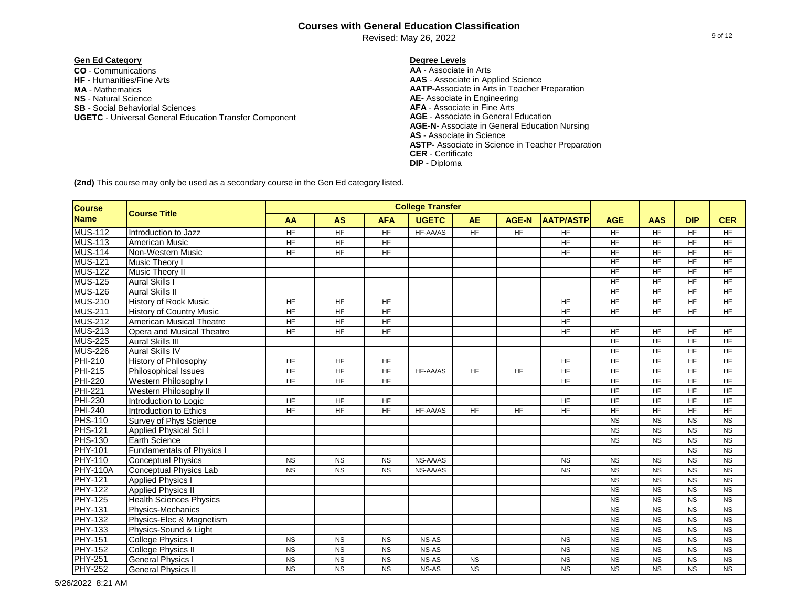Revised: May 26, 2022

# **Gen Ed Category Degree Levels**

**CO** - Communications **AA** - Associate in Arts **NS** - Natural Science **AE-** Associate in Engineering **SB** - Social Behaviorial Sciences **AFA** - Associate in Fine Arts **UGETC - Universal General Education Transfer Component MA** - Mathematics

**AAS** - Associate in Applied Science **AATP-**Associate in Arts in Teacher Preparation **AGE-N-** Associate in General Education Nursing **AS** - Associate in Science **ASTP-** Associate in Science in Teacher Preparation **CER** - Certificate **DIP** - Diploma

**(2nd)** This course may only be used as a secondary course in the Gen Ed category listed.

| <b>Course</b>   |                                  |                 |                |            | <b>College Transfer</b> |           |                |                  |                 |                 |                 |                |
|-----------------|----------------------------------|-----------------|----------------|------------|-------------------------|-----------|----------------|------------------|-----------------|-----------------|-----------------|----------------|
| <b>Name</b>     | <b>Course Title</b>              | AA              | <b>AS</b>      | <b>AFA</b> | <b>UGETC</b>            | <b>AE</b> | <b>AGE-N</b>   | <b>AATP/ASTP</b> | <b>AGE</b>      | <b>AAS</b>      | <b>DIP</b>      | <b>CER</b>     |
| <b>MUS-112</b>  | Introduction to Jazz             | $\overline{HF}$ | $H_{\text{F}}$ | HF         | HF-AA/AS                | HF        | $H_{\text{F}}$ | $H_{\text{F}}$   | $H_F$           | HF.             | $\overline{HF}$ | $H_{\text{F}}$ |
| <b>MUS-113</b>  | American Music                   | $H_{\text{F}}$  | $H_{\text{F}}$ | HF         |                         |           |                | $H_{\text{F}}$   | $H_F$           | <b>HF</b>       | $\overline{HF}$ | $H_{\text{F}}$ |
| <b>MUS-114</b>  | Non-Western Music                | $\overline{HF}$ | $H_{\text{F}}$ | HF         |                         |           |                | $H_{\text{F}}$   | $\overline{HF}$ | <b>HF</b>       | $\overline{HF}$ | $H_{\text{F}}$ |
| <b>MUS-121</b>  | Music Theory I                   |                 |                |            |                         |           |                |                  | <b>HF</b>       | <b>HF</b>       | <b>HF</b>       | <b>HF</b>      |
| <b>MUS-122</b>  | Music Theory II                  |                 |                |            |                         |           |                |                  | <b>HF</b>       | <b>HF</b>       | <b>HF</b>       | <b>HF</b>      |
| <b>MUS-125</b>  | <b>Aural Skills I</b>            |                 |                |            |                         |           |                |                  | <b>HF</b>       | <b>HF</b>       | <b>HF</b>       | <b>HF</b>      |
| <b>MUS-126</b>  | <b>Aural Skills II</b>           |                 |                |            |                         |           |                |                  | HF              | <b>HF</b>       | <b>HF</b>       | <b>HF</b>      |
| <b>MUS-210</b>  | <b>History of Rock Music</b>     | HF              | HF             | HF         |                         |           |                | <b>HF</b>        | HF              | <b>HF</b>       | <b>HF</b>       | <b>HF</b>      |
| <b>MUS-211</b>  | <b>History of Country Music</b>  | <b>HF</b>       | <b>HF</b>      | <b>HF</b>  |                         |           |                | <b>HF</b>        | <b>HF</b>       | <b>HF</b>       | <b>HF</b>       | <b>HF</b>      |
| <b>MUS-212</b>  | American Musical Theatre         | HF              | <b>HF</b>      | <b>HF</b>  |                         |           |                | <b>HF</b>        |                 |                 |                 |                |
| <b>MUS-213</b>  | Opera and Musical Theatre        | <b>HF</b>       | <b>HF</b>      | <b>HF</b>  |                         |           |                | HF               | HF              | <b>HF</b>       | <b>HF</b>       | <b>HF</b>      |
| <b>MUS-225</b>  | <b>Aural Skills III</b>          |                 |                |            |                         |           |                |                  | $H_F$           | $\overline{HF}$ | $H_{\text{F}}$  | $H_{\text{F}}$ |
| <b>MUS-226</b>  | <b>Aural Skills IV</b>           |                 |                |            |                         |           |                |                  | <b>HF</b>       | <b>HF</b>       | <b>HF</b>       | <b>HF</b>      |
| <b>PHI-210</b>  | <b>History of Philosophy</b>     | <b>HF</b>       | <b>HF</b>      | HF.        |                         |           |                | <b>HF</b>        | <b>HF</b>       | <b>HF</b>       | <b>HF</b>       | $H_{\text{F}}$ |
| <b>PHI-215</b>  | <b>Philosophical Issues</b>      | HF              | <b>HF</b>      | <b>HF</b>  | HF-AA/AS                | <b>HF</b> | <b>HF</b>      | <b>HF</b>        | <b>HF</b>       | <b>HF</b>       | <b>HF</b>       | <b>HF</b>      |
| <b>PHI-220</b>  | Western Philosophy I             | <b>HF</b>       | <b>HF</b>      | <b>HF</b>  |                         |           |                | <b>HF</b>        | <b>HF</b>       | <b>HF</b>       | <b>HF</b>       | <b>HF</b>      |
| <b>PHI-221</b>  | Western Philosophy II            |                 |                |            |                         |           |                |                  | <b>HF</b>       | <b>HF</b>       | <b>HF</b>       | <b>HF</b>      |
| <b>PHI-230</b>  | Introduction to Logic            | <b>HF</b>       | <b>HF</b>      | <b>HF</b>  |                         |           |                | <b>HF</b>        | <b>HF</b>       | <b>HF</b>       | $\overline{HF}$ | <b>HF</b>      |
| <b>PHI-240</b>  | Introduction to Ethics           | <b>HF</b>       | <b>HF</b>      | <b>HF</b>  | HF-AA/AS                | <b>HF</b> | <b>HF</b>      | <b>HF</b>        | <b>HF</b>       | <b>HF</b>       | <b>HF</b>       | <b>HF</b>      |
| <b>PHS-110</b>  | Survey of Phys Science           |                 |                |            |                         |           |                |                  | <b>NS</b>       | <b>NS</b>       | <b>NS</b>       | <b>NS</b>      |
| <b>PHS-121</b>  | <b>Applied Physical Sci I</b>    |                 |                |            |                         |           |                |                  | <b>NS</b>       | <b>NS</b>       | <b>NS</b>       | <b>NS</b>      |
| <b>PHS-130</b>  | <b>Earth Science</b>             |                 |                |            |                         |           |                |                  | <b>NS</b>       | <b>NS</b>       | <b>NS</b>       | <b>NS</b>      |
| <b>PHY-101</b>  | <b>Fundamentals of Physics I</b> |                 |                |            |                         |           |                |                  |                 |                 | <b>NS</b>       | <b>NS</b>      |
| <b>PHY-110</b>  | <b>Conceptual Physics</b>        | <b>NS</b>       | <b>NS</b>      | <b>NS</b>  | NS-AA/AS                |           |                | <b>NS</b>        | <b>NS</b>       | <b>NS</b>       | <b>NS</b>       | <b>NS</b>      |
| <b>PHY-110A</b> | <b>Conceptual Physics Lab</b>    | <b>NS</b>       | <b>NS</b>      | <b>NS</b>  | NS-AA/AS                |           |                | <b>NS</b>        | <b>NS</b>       | <b>NS</b>       | <b>NS</b>       | <b>NS</b>      |
| <b>PHY-121</b>  | <b>Applied Physics I</b>         |                 |                |            |                         |           |                |                  | <b>NS</b>       | <b>NS</b>       | <b>NS</b>       | <b>NS</b>      |
| <b>PHY-122</b>  | <b>Applied Physics II</b>        |                 |                |            |                         |           |                |                  | <b>NS</b>       | <b>NS</b>       | <b>NS</b>       | <b>NS</b>      |
| <b>PHY-125</b>  | <b>Health Sciences Physics</b>   |                 |                |            |                         |           |                |                  | <b>NS</b>       | <b>NS</b>       | <b>NS</b>       | <b>NS</b>      |
| <b>PHY-131</b>  | Physics-Mechanics                |                 |                |            |                         |           |                |                  | <b>NS</b>       | <b>NS</b>       | <b>NS</b>       | <b>NS</b>      |
| <b>PHY-132</b>  | Physics-Elec & Magnetism         |                 |                |            |                         |           |                |                  | <b>NS</b>       | <b>NS</b>       | <b>NS</b>       | <b>NS</b>      |
| <b>PHY-133</b>  | Physics-Sound & Light            |                 |                |            |                         |           |                |                  | <b>NS</b>       | <b>NS</b>       | <b>NS</b>       | <b>NS</b>      |
| <b>PHY-151</b>  | <b>College Physics I</b>         | <b>NS</b>       | <b>NS</b>      | <b>NS</b>  | NS-AS                   |           |                | <b>NS</b>        | <b>NS</b>       | <b>NS</b>       | <b>NS</b>       | <b>NS</b>      |
| <b>PHY-152</b>  | <b>College Physics II</b>        | <b>NS</b>       | <b>NS</b>      | <b>NS</b>  | NS-AS                   |           |                | <b>NS</b>        | <b>NS</b>       | <b>NS</b>       | <b>NS</b>       | <b>NS</b>      |
| <b>PHY-251</b>  | <b>General Physics I</b>         | <b>NS</b>       | <b>NS</b>      | <b>NS</b>  | NS-AS                   | <b>NS</b> |                | <b>NS</b>        | <b>NS</b>       | <b>NS</b>       | <b>NS</b>       | <b>NS</b>      |
| <b>PHY-252</b>  | <b>General Physics II</b>        | <b>NS</b>       | <b>NS</b>      | <b>NS</b>  | NS-AS                   | <b>NS</b> |                | <b>NS</b>        | <b>NS</b>       | <b>NS</b>       | <b>NS</b>       | <b>NS</b>      |

5/26/2022 8:21 AM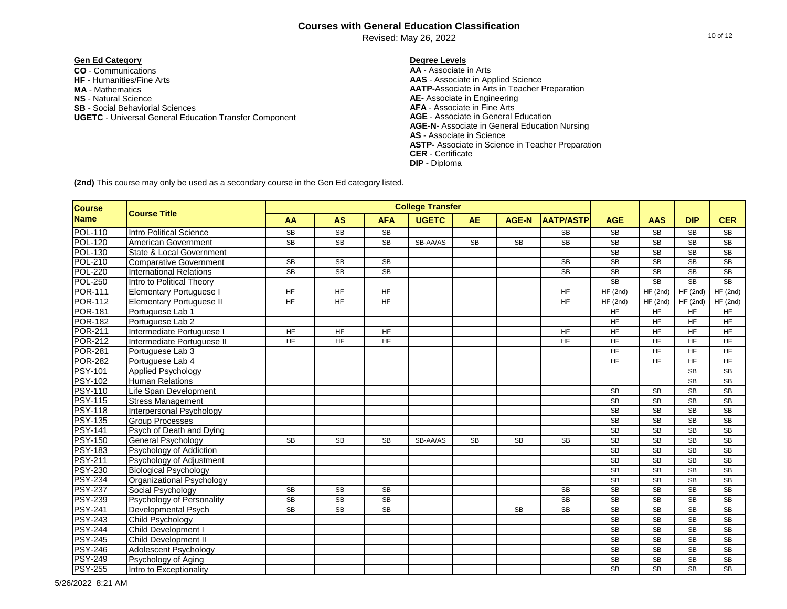Revised: May 26, 2022

# **Gen Ed Category Degree Levels**

**CO** - Communications **AA** - Associate in Arts **NS** - Natural Science **AE-** Associate in Engineering **SB** - Social Behaviorial Sciences **AFA** - Associate in Fine Arts **UGETC - Universal General Education Transfer Component MA** - Mathematics

**AAS** - Associate in Applied Science **AATP-**Associate in Arts in Teacher Preparation **AGE-N-** Associate in General Education Nursing **AS** - Associate in Science **ASTP-** Associate in Science in Teacher Preparation **CER** - Certificate **DIP** - Diploma

| <b>Course</b>  |                                 |                 |                        |                        | <b>College Transfer</b> |           |              |                        |                        |                        |                        |                        |
|----------------|---------------------------------|-----------------|------------------------|------------------------|-------------------------|-----------|--------------|------------------------|------------------------|------------------------|------------------------|------------------------|
| <b>Name</b>    | <b>Course Title</b>             | <b>AA</b>       | <b>AS</b>              | <b>AFA</b>             | <b>UGETC</b>            | <b>AE</b> | <b>AGE-N</b> | <b>AATP/ASTP</b>       | <b>AGE</b>             | <b>AAS</b>             | <b>DIP</b>             | <b>CER</b>             |
| <b>POL-110</b> | <b>Intro Political Science</b>  | <b>SB</b>       | SB                     | <b>SB</b>              |                         |           |              | <b>SB</b>              | SB                     | <b>SB</b>              | <b>SB</b>              | SB                     |
| <b>POL-120</b> | American Government             | <b>SB</b>       | $\overline{\text{SB}}$ | $\overline{\text{SB}}$ | SB-AA/AS                | <b>SB</b> | <b>SB</b>    | $\overline{\text{SB}}$ | <b>SB</b>              | $\overline{\text{SB}}$ | <b>SB</b>              | <b>SB</b>              |
| <b>POL-130</b> | State & Local Government        |                 |                        |                        |                         |           |              |                        | SB                     | <b>SB</b>              | <b>SB</b>              | <b>SB</b>              |
| <b>POL-210</b> | <b>Comparative Government</b>   | <b>SB</b>       | <b>SB</b>              | SB                     |                         |           |              | <b>SB</b>              | SB                     | <b>SB</b>              | <b>SB</b>              | <b>SB</b>              |
| <b>POL-220</b> | <b>International Relations</b>  | <b>SB</b>       | $\overline{\text{SB}}$ | $\overline{\text{SB}}$ |                         |           |              | <b>SB</b>              | SB                     | <b>SB</b>              | <b>SB</b>              | <b>SB</b>              |
| <b>POL-250</b> | Intro to Political Theory       |                 |                        |                        |                         |           |              |                        | SB                     | <b>SB</b>              | <b>SB</b>              | <b>SB</b>              |
| <b>POR-111</b> | <b>Elementary Portuguese I</b>  | $H_F$           | $H_F$                  | HF                     |                         |           |              | <b>HF</b>              | HF(2nd)                | HF(2nd)                | HF(2nd)                | HF(2nd)                |
| <b>POR-112</b> | <b>Elementary Portuguese II</b> | $\overline{HF}$ | $H_{\text{F}}$         | HF                     |                         |           |              | <b>HF</b>              | HF(2nd)                | HF(2nd)                | HF(2nd)                | HF(2nd)                |
| <b>POR-181</b> | Portuguese Lab 1                |                 |                        |                        |                         |           |              |                        | <b>HF</b>              | <b>HF</b>              | <b>HF</b>              | <b>HF</b>              |
| <b>POR-182</b> | Portuguese Lab 2                |                 |                        |                        |                         |           |              |                        | HF                     | <b>HF</b>              | <b>HF</b>              | <b>HF</b>              |
| <b>POR-211</b> | Intermediate Portuguese I       | <b>HF</b>       | <b>HF</b>              | <b>HF</b>              |                         |           |              | <b>HF</b>              | <b>HF</b>              | <b>HF</b>              | <b>HF</b>              | <b>HF</b>              |
| <b>POR-212</b> | Intermediate Portuguese II      | <b>HF</b>       | <b>HF</b>              | <b>HF</b>              |                         |           |              | <b>HF</b>              | HF                     | <b>HF</b>              | <b>HF</b>              | <b>HF</b>              |
| <b>POR-281</b> | Portuguese Lab 3                |                 |                        |                        |                         |           |              |                        | <b>HF</b>              | <b>HF</b>              | <b>HF</b>              | <b>HF</b>              |
| <b>POR-282</b> | Portuguese Lab 4                |                 |                        |                        |                         |           |              |                        | <b>HF</b>              | <b>HF</b>              | <b>HF</b>              | <b>HF</b>              |
| <b>PSY-101</b> | Applied Psychology              |                 |                        |                        |                         |           |              |                        |                        |                        | $\overline{\text{SB}}$ | <b>SB</b>              |
| <b>PSY-102</b> | <b>Human Relations</b>          |                 |                        |                        |                         |           |              |                        |                        |                        | <b>SB</b>              | <b>SB</b>              |
| <b>PSY-110</b> | Life Span Development           |                 |                        |                        |                         |           |              |                        | <b>SB</b>              | <b>SB</b>              | <b>SB</b>              | <b>SB</b>              |
| <b>PSY-115</b> | <b>Stress Management</b>        |                 |                        |                        |                         |           |              |                        | <b>SB</b>              | <b>SB</b>              | <b>SB</b>              | <b>SB</b>              |
| <b>PSY-118</b> | Interpersonal Psychology        |                 |                        |                        |                         |           |              |                        | SB                     | <b>SB</b>              | <b>SB</b>              | <b>SB</b>              |
| <b>PSY-135</b> | <b>Group Processes</b>          |                 |                        |                        |                         |           |              |                        | <b>SB</b>              | <b>SB</b>              | <b>SB</b>              | <b>SB</b>              |
| <b>PSY-141</b> | Psych of Death and Dying        |                 |                        |                        |                         |           |              |                        | SB                     | <b>SB</b>              | <b>SB</b>              | <b>SB</b>              |
| <b>PSY-150</b> | General Psychology              | <b>SB</b>       | <b>SB</b>              | <b>SB</b>              | SB-AA/AS                | <b>SB</b> | <b>SB</b>    | <b>SB</b>              | SB                     | <b>SB</b>              | <b>SB</b>              | <b>SB</b>              |
| <b>PSY-183</b> | Psychology of Addiction         |                 |                        |                        |                         |           |              |                        | $\overline{\text{SB}}$ | $\overline{\text{SB}}$ | $\overline{\text{SB}}$ | <b>SB</b>              |
| <b>PSY-211</b> | Psychology of Adjustment        |                 |                        |                        |                         |           |              |                        | <b>SB</b>              | $\overline{\text{SB}}$ | $\overline{\text{SB}}$ | <b>SB</b>              |
| <b>PSY-230</b> | <b>Biological Psychology</b>    |                 |                        |                        |                         |           |              |                        | SB                     | <b>SB</b>              | <b>SB</b>              | <b>SB</b>              |
| <b>PSY-234</b> | Organizational Psychology       |                 |                        |                        |                         |           |              |                        | SB                     | <b>SB</b>              | <b>SB</b>              | <b>SB</b>              |
| <b>PSY-237</b> | Social Psychology               | <b>SB</b>       | <b>SB</b>              | <b>SB</b>              |                         |           |              | <b>SB</b>              | SB                     | <b>SB</b>              | <b>SB</b>              | <b>SB</b>              |
| <b>PSY-239</b> | Psychology of Personality       | <b>SB</b>       | <b>SB</b>              | <b>SB</b>              |                         |           |              | <b>SB</b>              | <b>SB</b>              | <b>SB</b>              | <b>SB</b>              | <b>SB</b>              |
| <b>PSY-241</b> | Developmental Psych             | <b>SB</b>       | <b>SB</b>              | <b>SB</b>              |                         |           | <b>SB</b>    | <b>SB</b>              | <b>SB</b>              | <b>SB</b>              | <b>SB</b>              | <b>SB</b>              |
| <b>PSY-243</b> | Child Psychology                |                 |                        |                        |                         |           |              |                        | SB                     | $\overline{\text{SB}}$ | $\overline{\text{SB}}$ | $\overline{\text{SB}}$ |
| <b>PSY-244</b> | <b>Child Development I</b>      |                 |                        |                        |                         |           |              |                        | <b>SB</b>              | <b>SB</b>              | <b>SB</b>              | <b>SB</b>              |
| <b>PSY-245</b> | <b>Child Development II</b>     |                 |                        |                        |                         |           |              |                        | <b>SB</b>              | <b>SB</b>              | <b>SB</b>              | <b>SB</b>              |
| <b>PSY-246</b> | Adolescent Psychology           |                 |                        |                        |                         |           |              |                        | <b>SB</b>              | <b>SB</b>              | <b>SB</b>              | <b>SB</b>              |
| <b>PSY-249</b> | Psychology of Aging             |                 |                        |                        |                         |           |              |                        | <b>SB</b>              | <b>SB</b>              | <b>SB</b>              | <b>SB</b>              |
| <b>PSY-255</b> | Intro to Exceptionality         |                 |                        |                        |                         |           |              |                        | <b>SB</b>              | <b>SB</b>              | <b>SB</b>              | <b>SB</b>              |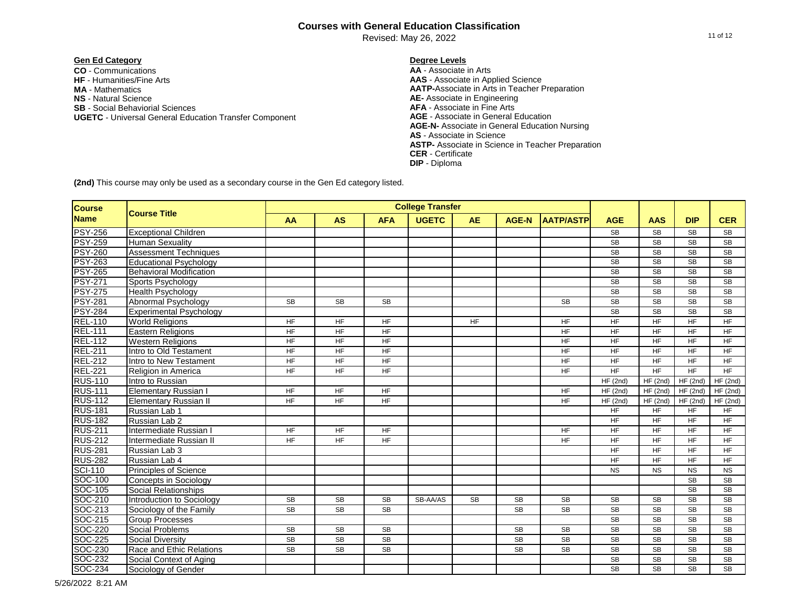Revised: May 26, 2022

# **Gen Ed Category Degree Levels**

**CO** - Communications **AA** - Associate in Arts **NS** - Natural Science **AE-** Associate in Engineering **SB** - Social Behaviorial Sciences **AFA** - Associate in Fine Arts **UGETC - Universal General Education Transfer Component MA** - Mathematics

**AAS** - Associate in Applied Science **AATP-**Associate in Arts in Teacher Preparation **AGE-N-** Associate in General Education Nursing **AS** - Associate in Science **ASTP-** Associate in Science in Teacher Preparation **CER** - Certificate **DIP** - Diploma

| <b>College Transfer</b><br><b>Course</b><br><b>Course Title</b> |                                |                 |                |                        |              |           |              |                  |                        |                        |                        |                        |
|-----------------------------------------------------------------|--------------------------------|-----------------|----------------|------------------------|--------------|-----------|--------------|------------------|------------------------|------------------------|------------------------|------------------------|
| <b>Name</b>                                                     |                                | AA              | <b>AS</b>      | <b>AFA</b>             | <b>UGETC</b> | <b>AE</b> | <b>AGE-N</b> | <b>AATP/ASTP</b> | <b>AGE</b>             | <b>AAS</b>             | <b>DIP</b>             | <b>CER</b>             |
| <b>PSY-256</b>                                                  | <b>Exceptional Children</b>    |                 |                |                        |              |           |              |                  | <b>SB</b>              | <b>SB</b>              | <b>SB</b>              | <b>SB</b>              |
| <b>PSY-259</b>                                                  | <b>Human Sexuality</b>         |                 |                |                        |              |           |              |                  | <b>SB</b>              | $\overline{\text{SB}}$ | <b>SB</b>              | $\overline{\text{SB}}$ |
| <b>PSY-260</b>                                                  | <b>Assessment Techniques</b>   |                 |                |                        |              |           |              |                  | <b>SB</b>              | $\overline{\text{SB}}$ | $\overline{\text{SB}}$ | SB                     |
| <b>PSY-263</b>                                                  | <b>Educational Psychology</b>  |                 |                |                        |              |           |              |                  | <b>SB</b>              | <b>SB</b>              | <b>SB</b>              | <b>SB</b>              |
| <b>PSY-265</b>                                                  | <b>Behavioral Modification</b> |                 |                |                        |              |           |              |                  | <b>SB</b>              | <b>SB</b>              | <b>SB</b>              | $\overline{\text{SB}}$ |
| <b>PSY-271</b>                                                  | Sports Psychology              |                 |                |                        |              |           |              |                  | <b>SB</b>              | <b>SB</b>              | <b>SB</b>              | <b>SB</b>              |
| <b>PSY-275</b>                                                  | <b>Health Psychology</b>       |                 |                |                        |              |           |              |                  | <b>SB</b>              | <b>SB</b>              | <b>SB</b>              | <b>SB</b>              |
| <b>PSY-281</b>                                                  | Abnormal Psychology            | <b>SB</b>       | <b>SB</b>      | <b>SB</b>              |              |           |              | <b>SB</b>        | <b>SB</b>              | <b>SB</b>              | <b>SB</b>              | <b>SB</b>              |
| <b>PSY-284</b>                                                  | <b>Experimental Psychology</b> |                 |                |                        |              |           |              |                  | $\overline{\text{SB}}$ | $\overline{\text{SB}}$ | $\overline{\text{SB}}$ | $\overline{\text{SB}}$ |
| <b>REL-110</b>                                                  | <b>World Religions</b>         | HF              | <b>HF</b>      | <b>HF</b>              |              | <b>HF</b> |              | <b>HF</b>        | <b>HF</b>              | <b>HF</b>              | <b>HF</b>              | <b>HF</b>              |
| <b>REL-111</b>                                                  | <b>Eastern Religions</b>       | HF              | HF             | <b>HF</b>              |              |           |              | <b>HF</b>        | <b>HF</b>              | <b>HF</b>              | <b>HF</b>              | <b>HF</b>              |
| <b>REL-112</b>                                                  | <b>Western Religions</b>       | $H_{\text{F}}$  | H <sub>F</sub> | HF                     |              |           |              | HF               | <b>HF</b>              | <b>HF</b>              | <b>HF</b>              | <b>HF</b>              |
| <b>REL-211</b>                                                  | Intro to Old Testament         | HF              | HF             | <b>HF</b>              |              |           |              | HF               | <b>HF</b>              | <b>HF</b>              | <b>HF</b>              | <b>HF</b>              |
| <b>REL-212</b>                                                  | Intro to New Testament         | $H_{\text{F}}$  | $H_{\text{F}}$ | $H_{\text{F}}$         |              |           |              | <b>HF</b>        | <b>HF</b>              | <b>HF</b>              | <b>HF</b>              | <b>HF</b>              |
| <b>REL-221</b>                                                  | Religion in America            | <b>HF</b>       | <b>HF</b>      | <b>HF</b>              |              |           |              | <b>HF</b>        | HF                     | <b>HF</b>              | <b>HF</b>              | <b>HF</b>              |
| <b>RUS-110</b>                                                  | Intro to Russian               |                 |                |                        |              |           |              |                  | HF(2nd)                | HF(2nd)                | HF(2nd)                | HF(2nd)                |
| <b>RUS-111</b>                                                  | Elementary Russian I           | <b>HF</b>       | <b>HF</b>      | <b>HF</b>              |              |           |              | <b>HF</b>        | HF(2nd)                | HF(2nd)                | HF(2nd)                | HF(2nd)                |
| <b>RUS-112</b>                                                  | <b>Elementary Russian II</b>   | <b>HF</b>       | <b>HF</b>      | <b>HF</b>              |              |           |              | <b>HF</b>        | HF(2nd)                | HF(2nd)                | HF(2nd)                | HF(2nd)                |
| <b>RUS-181</b>                                                  | Russian Lab 1                  |                 |                |                        |              |           |              |                  | <b>HF</b>              | <b>HF</b>              | <b>HF</b>              | <b>HF</b>              |
| <b>RUS-182</b>                                                  | Russian Lab 2                  |                 |                |                        |              |           |              |                  | <b>HF</b>              | <b>HF</b>              | <b>HF</b>              | <b>HF</b>              |
| <b>RUS-211</b>                                                  | Intermediate Russian I         | <b>HF</b>       | HF             | <b>HF</b>              |              |           |              | <b>HF</b>        | $H_F$                  | $\overline{HF}$        | $\overline{HF}$        | HF                     |
| <b>RUS-212</b>                                                  | Intermediate Russian II        | $\overline{HF}$ | HF             | HF                     |              |           |              | $H_{\text{F}}$   | $H_{\text{F}}$         | $\overline{HF}$        | $H_{\text{F}}$         | $H_{\text{F}}$         |
| <b>RUS-281</b>                                                  | Russian Lab 3                  |                 |                |                        |              |           |              |                  | <b>HF</b>              | <b>HF</b>              | $\overline{HF}$        | $H_{\text{F}}$         |
| <b>RUS-282</b>                                                  | Russian Lab 4                  |                 |                |                        |              |           |              |                  | <b>HF</b>              | <b>HF</b>              | <b>HF</b>              | <b>HF</b>              |
| <b>SCI-110</b>                                                  | <b>Principles of Science</b>   |                 |                |                        |              |           |              |                  | <b>NS</b>              | <b>NS</b>              | <b>NS</b>              | <b>NS</b>              |
| SOC-100                                                         | Concepts in Sociology          |                 |                |                        |              |           |              |                  |                        |                        | <b>SB</b>              | <b>SB</b>              |
| SOC-105                                                         | Social Relationships           |                 |                |                        |              |           |              |                  |                        |                        | <b>SB</b>              | <b>SB</b>              |
| SOC-210                                                         | Introduction to Sociology      | <b>SB</b>       | <b>SB</b>      | <b>SB</b>              | SB-AA/AS     | <b>SB</b> | <b>SB</b>    | <b>SB</b>        | <b>SB</b>              | <b>SB</b>              | <b>SB</b>              | <b>SB</b>              |
| SOC-213                                                         | Sociology of the Family        | <b>SB</b>       | <b>SB</b>      | <b>SB</b>              |              |           | <b>SB</b>    | <b>SB</b>        | <b>SB</b>              | <b>SB</b>              | <b>SB</b>              | <b>SB</b>              |
| SOC-215                                                         | <b>Group Processes</b>         |                 |                |                        |              |           |              |                  | <b>SB</b>              | <b>SB</b>              | <b>SB</b>              | <b>SB</b>              |
| SOC-220                                                         | <b>Social Problems</b>         | SB              | <b>SB</b>      | <b>SB</b>              |              |           | <b>SB</b>    | <b>SB</b>        | <b>SB</b>              | <b>SB</b>              | <b>SB</b>              | $\overline{\text{SB}}$ |
| SOC-225                                                         | <b>Social Diversity</b>        | SB              | <b>SB</b>      | $\overline{\text{SB}}$ |              |           | <b>SB</b>    | <b>SB</b>        | <b>SB</b>              | $\overline{\text{SB}}$ | $\overline{\text{SB}}$ | $\overline{\text{SB}}$ |
| SOC-230                                                         | Race and Ethic Relations       | SB              | <b>SB</b>      | <b>SB</b>              |              |           | <b>SB</b>    | <b>SB</b>        | <b>SB</b>              | <b>SB</b>              | <b>SB</b>              | <b>SB</b>              |
| SOC-232                                                         | Social Context of Aging        |                 |                |                        |              |           |              |                  | <b>SB</b>              | <b>SB</b>              | <b>SB</b>              | <b>SB</b>              |
| SOC-234                                                         | Sociology of Gender            |                 |                |                        |              |           |              |                  | <b>SB</b>              | <b>SB</b>              | <b>SB</b>              | <b>SB</b>              |